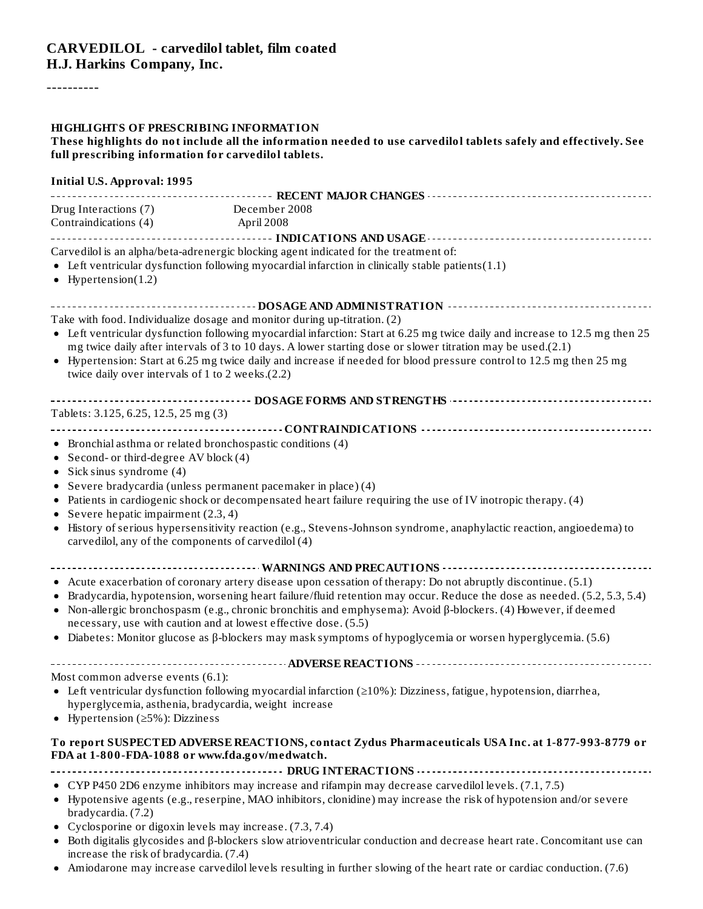----------

#### **HIGHLIGHTS OF PRESCRIBING INFORMATION**

These highlights do not include all the information needed to use carvedilol tablets safely and effectively. See **full prescribing information for carvedilol tablets.**

| <b>Initial U.S. Approval: 1995</b>                                                            |                                                                                                                                                                                                                                                                                                                                                                                                                                                                                                                                                             |
|-----------------------------------------------------------------------------------------------|-------------------------------------------------------------------------------------------------------------------------------------------------------------------------------------------------------------------------------------------------------------------------------------------------------------------------------------------------------------------------------------------------------------------------------------------------------------------------------------------------------------------------------------------------------------|
| Drug Interactions (7) December 2008<br>Contraindications (4)                                  | April 2008                                                                                                                                                                                                                                                                                                                                                                                                                                                                                                                                                  |
| $\bullet$ Hypertension(1.2)                                                                   | Carvedilol is an alpha/beta-adrenergic blocking agent indicated for the treatment of:<br>• Left ventricular dysfunction following myocardial infarction in clinically stable patients(1.1)                                                                                                                                                                                                                                                                                                                                                                  |
|                                                                                               | ---------------------------------- DOSAGE AND ADMINISTRATION --------------------------------                                                                                                                                                                                                                                                                                                                                                                                                                                                               |
| twice daily over intervals of 1 to 2 weeks.(2.2)                                              | Take with food. Individualize dosage and monitor during up-titration. (2)<br>• Left ventricular dysfunction following myocardial infarction: Start at 6.25 mg twice daily and increase to 12.5 mg then 25<br>mg twice daily after intervals of 3 to 10 days. A lower starting dose or slower titration may be used.(2.1)<br>• Hypertension: Start at 6.25 mg twice daily and increase if needed for blood pressure control to 12.5 mg then 25 mg                                                                                                            |
|                                                                                               |                                                                                                                                                                                                                                                                                                                                                                                                                                                                                                                                                             |
| Tablets: 3.125, 6.25, 12.5, 25 mg (3)                                                         |                                                                                                                                                                                                                                                                                                                                                                                                                                                                                                                                                             |
| • Second- or third-degree AV block (4)<br>• Sick sinus syndrome $(4)$                         | • Bronchial asthma or related bronchospastic conditions (4)<br>• Severe bradycardia (unless permanent pacemaker in place) (4)<br>• Patients in cardiogenic shock or decompensated heart failure requiring the use of IV inotropic therapy. (4)                                                                                                                                                                                                                                                                                                              |
| • Severe hepatic impairment $(2.3, 4)$<br>carvedilol, any of the components of carvedilol (4) | • History of serious hypersensitivity reaction (e.g., Stevens-Johnson syndrome, anaphylactic reaction, angioedema) to                                                                                                                                                                                                                                                                                                                                                                                                                                       |
|                                                                                               |                                                                                                                                                                                                                                                                                                                                                                                                                                                                                                                                                             |
|                                                                                               | • Acute exacerbation of coronary artery disease upon cessation of therapy: Do not abruptly discontinue. (5.1)<br>• Bradycardia, hypotension, worsening heart failure/fluid retention may occur. Reduce the dose as needed. (5.2, 5.3, 5.4)<br>• Non-allergic bronchospasm (e.g., chronic bronchitis and emphysema): Avoid $\beta$ -blockers. (4) However, if deemed<br>necessary, use with caution and at lowest effective dose. (5.5)<br>• Diabetes: Monitor glucose as $\beta$ -blockers may mask symptoms of hypoglycemia or worsen hyperglycemia. (5.6) |
|                                                                                               |                                                                                                                                                                                                                                                                                                                                                                                                                                                                                                                                                             |
| Most common adverse events (6.1):<br>• Hypertension ( $\geq$ 5%): Dizziness                   | • Left ventricular dysfunction following myocardial infarction ( $\geq$ 10%): Dizziness, fatigue, hypotension, diarrhea,<br>hyperglycemia, asthenia, bradycardia, weight increase                                                                                                                                                                                                                                                                                                                                                                           |
| FDA at 1-800-FDA-1088 or www.fda.gov/medwatch.                                                | To report SUSPECTED ADVERSE REACTIONS, contact Zydus Pharmaceuticals USA Inc. at 1-877-993-8779 or                                                                                                                                                                                                                                                                                                                                                                                                                                                          |
|                                                                                               |                                                                                                                                                                                                                                                                                                                                                                                                                                                                                                                                                             |
| bradycardia. (7.2)                                                                            | • CYP P450 2D6 enzyme inhibitors may increase and rifampin may decrease carvedilol levels. (7.1, 7.5)<br>• Hypotensive agents (e.g., reserpine, MAO inhibitors, clonidine) may increase the risk of hypotension and/or severe                                                                                                                                                                                                                                                                                                                               |
| ٠<br>increase the risk of bradycardia. (7.4)                                                  | Cyclosporine or digoxin levels may increase. (7.3, 7.4)<br>Both digitalis glycosides and $\beta$ -blockers slow atrioventricular conduction and decrease heart rate. Concomitant use can                                                                                                                                                                                                                                                                                                                                                                    |

Amiodarone may increase carvedilol levels resulting in further slowing of the heart rate or cardiac conduction. (7.6)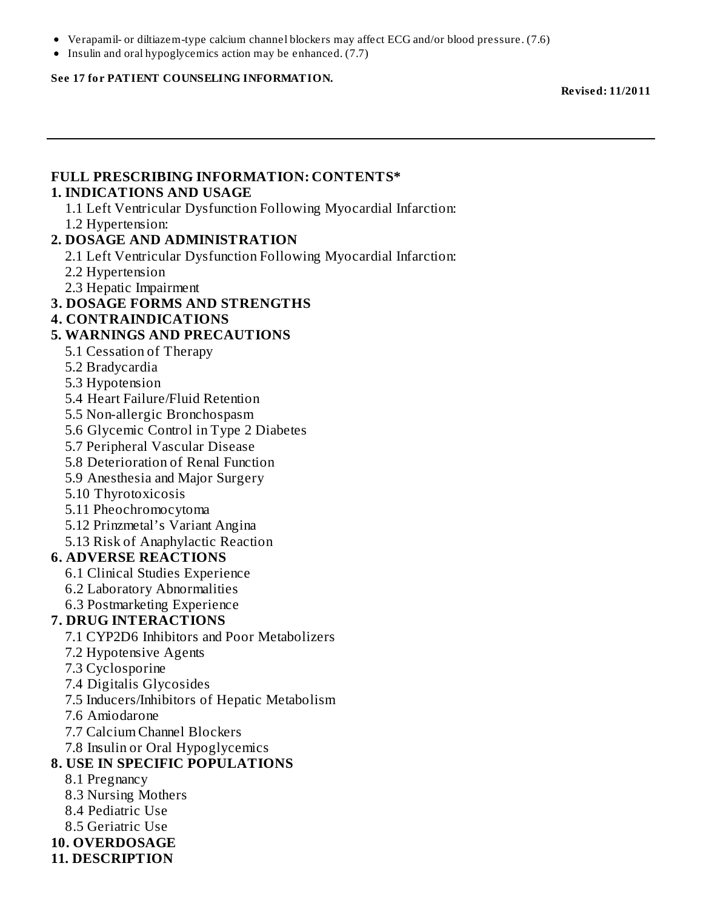- Verapamil- or diltiazem-type calcium channel blockers may affect ECG and/or blood pressure. (7.6)
- $\bullet$  Insulin and oral hypoglycemics action may be enhanced. (7.7)

#### **See 17 for PATIENT COUNSELING INFORMATION.**

**Revised: 11/2011**

#### **FULL PRESCRIBING INFORMATION: CONTENTS\* 1. INDICATIONS AND USAGE**

1.1 Left Ventricular Dysfunction Following Myocardial Infarction: 1.2 Hypertension:

#### **2. DOSAGE AND ADMINISTRATION**

- 2.1 Left Ventricular Dysfunction Following Myocardial Infarction:
- 2.2 Hypertension
- 2.3 Hepatic Impairment

#### **3. DOSAGE FORMS AND STRENGTHS**

**4. CONTRAINDICATIONS**

#### **5. WARNINGS AND PRECAUTIONS**

- 5.1 Cessation of Therapy
- 5.2 Bradycardia
- 5.3 Hypotension
- 5.4 Heart Failure/Fluid Retention
- 5.5 Non-allergic Bronchospasm
- 5.6 Glycemic Control in Type 2 Diabetes
- 5.7 Peripheral Vascular Disease
- 5.8 Deterioration of Renal Function
- 5.9 Anesthesia and Major Surgery
- 5.10 Thyrotoxicosis
- 5.11 Pheochromocytoma
- 5.12 Prinzmetal's Variant Angina
- 5.13 Risk of Anaphylactic Reaction

#### **6. ADVERSE REACTIONS**

- 6.1 Clinical Studies Experience
- 6.2 Laboratory Abnormalities
- 6.3 Postmarketing Experience

#### **7. DRUG INTERACTIONS**

- 7.1 CYP2D6 Inhibitors and Poor Metabolizers
- 7.2 Hypotensive Agents
- 7.3 Cyclosporine
- 7.4 Digitalis Glycosides
- 7.5 Inducers/Inhibitors of Hepatic Metabolism
- 7.6 Amiodarone
- 7.7 Calcium Channel Blockers
- 7.8 Insulin or Oral Hypoglycemics

#### **8. USE IN SPECIFIC POPULATIONS**

- 8.1 Pregnancy
- 8.3 Nursing Mothers
- 8.4 Pediatric Use
- 8.5 Geriatric Use
- **10. OVERDOSAGE**
- **11. DESCRIPTION**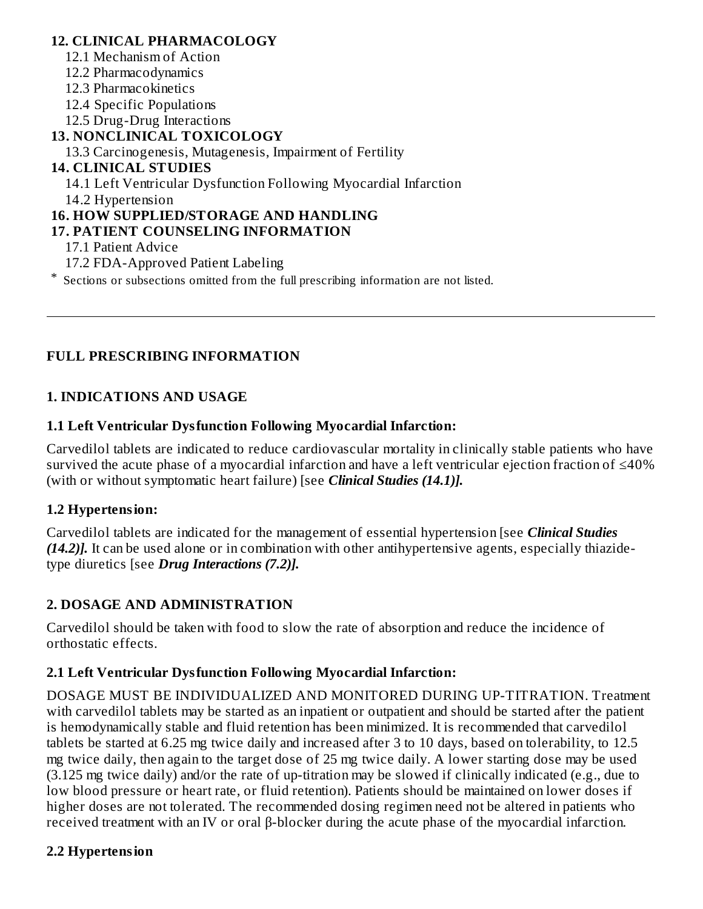#### **12. CLINICAL PHARMACOLOGY**

- 12.1 Mechanism of Action
- 12.2 Pharmacodynamics
- 12.3 Pharmacokinetics
- 12.4 Specific Populations
- 12.5 Drug-Drug Interactions

# **13. NONCLINICAL TOXICOLOGY**

13.3 Carcinogenesis, Mutagenesis, Impairment of Fertility

# **14. CLINICAL STUDIES**

14.1 Left Ventricular Dysfunction Following Myocardial Infarction

14.2 Hypertension

# **16. HOW SUPPLIED/STORAGE AND HANDLING**

# **17. PATIENT COUNSELING INFORMATION**

- 17.1 Patient Advice
- 17.2 FDA-Approved Patient Labeling

\* Sections or subsections omitted from the full prescribing information are not listed.

# **FULL PRESCRIBING INFORMATION**

# **1. INDICATIONS AND USAGE**

# **1.1 Left Ventricular Dysfunction Following Myocardial Infarction:**

Carvedilol tablets are indicated to reduce cardiovascular mortality in clinically stable patients who have survived the acute phase of a myocardial infarction and have a left ventricular ejection fraction of ≤40% (with or without symptomatic heart failure) [see *Clinical Studies (14.1)].*

# **1.2 Hypertension:**

Carvedilol tablets are indicated for the management of essential hypertension [see *Clinical Studies (14.2)].* It can be used alone or in combination with other antihypertensive agents, especially thiazidetype diuretics [see *Drug Interactions (7.2)].*

# **2. DOSAGE AND ADMINISTRATION**

Carvedilol should be taken with food to slow the rate of absorption and reduce the incidence of orthostatic effects.

# **2.1 Left Ventricular Dysfunction Following Myocardial Infarction:**

DOSAGE MUST BE INDIVIDUALIZED AND MONITORED DURING UP-TITRATION. Treatment with carvedilol tablets may be started as an inpatient or outpatient and should be started after the patient is hemodynamically stable and fluid retention has been minimized. It is recommended that carvedilol tablets be started at 6.25 mg twice daily and increased after 3 to 10 days, based on tolerability, to 12.5 mg twice daily, then again to the target dose of 25 mg twice daily. A lower starting dose may be used (3.125 mg twice daily) and/or the rate of up-titration may be slowed if clinically indicated (e.g., due to low blood pressure or heart rate, or fluid retention). Patients should be maintained on lower doses if higher doses are not tolerated. The recommended dosing regimen need not be altered in patients who received treatment with an IV or oral β-blocker during the acute phase of the myocardial infarction.

# **2.2 Hypertension**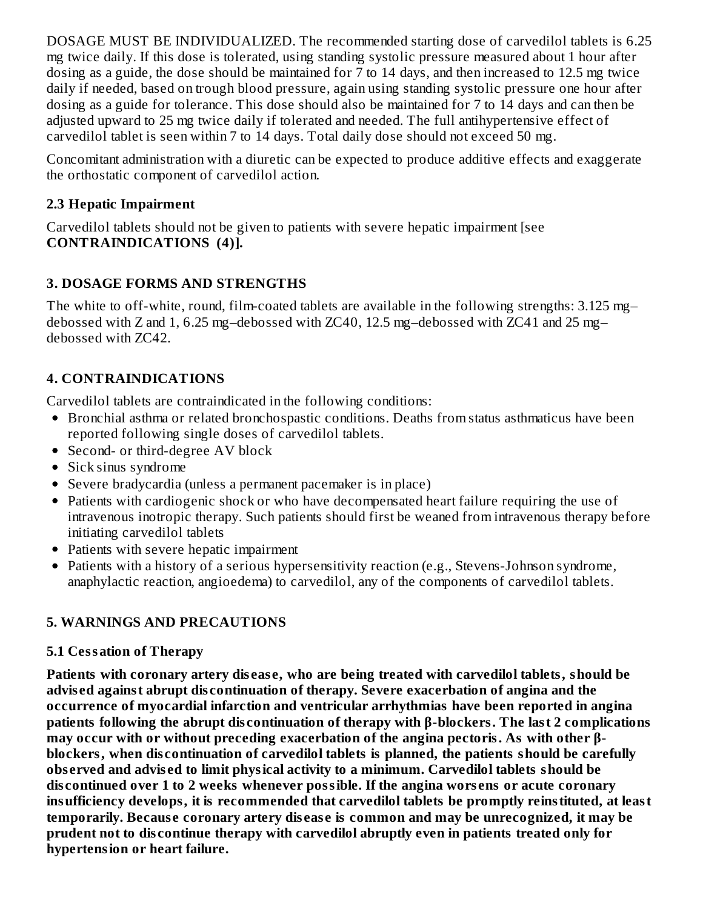DOSAGE MUST BE INDIVIDUALIZED. The recommended starting dose of carvedilol tablets is 6.25 mg twice daily. If this dose is tolerated, using standing systolic pressure measured about 1 hour after dosing as a guide, the dose should be maintained for 7 to 14 days, and then increased to 12.5 mg twice daily if needed, based on trough blood pressure, again using standing systolic pressure one hour after dosing as a guide for tolerance. This dose should also be maintained for 7 to 14 days and can then be adjusted upward to 25 mg twice daily if tolerated and needed. The full antihypertensive effect of carvedilol tablet is seen within 7 to 14 days. Total daily dose should not exceed 50 mg.

Concomitant administration with a diuretic can be expected to produce additive effects and exaggerate the orthostatic component of carvedilol action.

### **2.3 Hepatic Impairment**

Carvedilol tablets should not be given to patients with severe hepatic impairment [see **CONTRAINDICATIONS (4)].**

# **3. DOSAGE FORMS AND STRENGTHS**

The white to off-white, round, film-coated tablets are available in the following strengths: 3.125 mg– debossed with Z and 1, 6.25 mg–debossed with ZC40, 12.5 mg–debossed with ZC41 and 25 mg– debossed with ZC42.

# **4. CONTRAINDICATIONS**

Carvedilol tablets are contraindicated in the following conditions:

- Bronchial asthma or related bronchospastic conditions. Deaths from status asthmaticus have been reported following single doses of carvedilol tablets.
- Second- or third-degree AV block
- Sick sinus syndrome
- Severe bradycardia (unless a permanent pacemaker is in place)
- Patients with cardiogenic shock or who have decompensated heart failure requiring the use of intravenous inotropic therapy. Such patients should first be weaned from intravenous therapy before initiating carvedilol tablets
- Patients with severe hepatic impairment
- Patients with a history of a serious hypersensitivity reaction (e.g., Stevens-Johnson syndrome,  $\bullet$ anaphylactic reaction, angioedema) to carvedilol, any of the components of carvedilol tablets.

# **5. WARNINGS AND PRECAUTIONS**

# **5.1 Cessation of Therapy**

**Patients with coronary artery dis eas e, who are being treated with carvedilol tablets, should be advis ed against abrupt dis continuation of therapy. Severe exacerbation of angina and the occurrence of myocardial infarction and ventricular arrhythmias have been reported in angina patients following the abrupt dis continuation of therapy with β-blockers. The last 2 complications may occur with or without preceding exacerbation of the angina pectoris. As with other βblockers, when dis continuation of carvedilol tablets is planned, the patients should be carefully obs erved and advis ed to limit physical activity to a minimum. Carvedilol tablets should be dis continued over 1 to 2 weeks whenever possible. If the angina wors ens or acute coronary insufficiency develops, it is recommended that carvedilol tablets be promptly reinstituted, at least temporarily. Becaus e coronary artery dis eas e is common and may be unrecognized, it may be prudent not to dis continue therapy with carvedilol abruptly even in patients treated only for hypertension or heart failure.**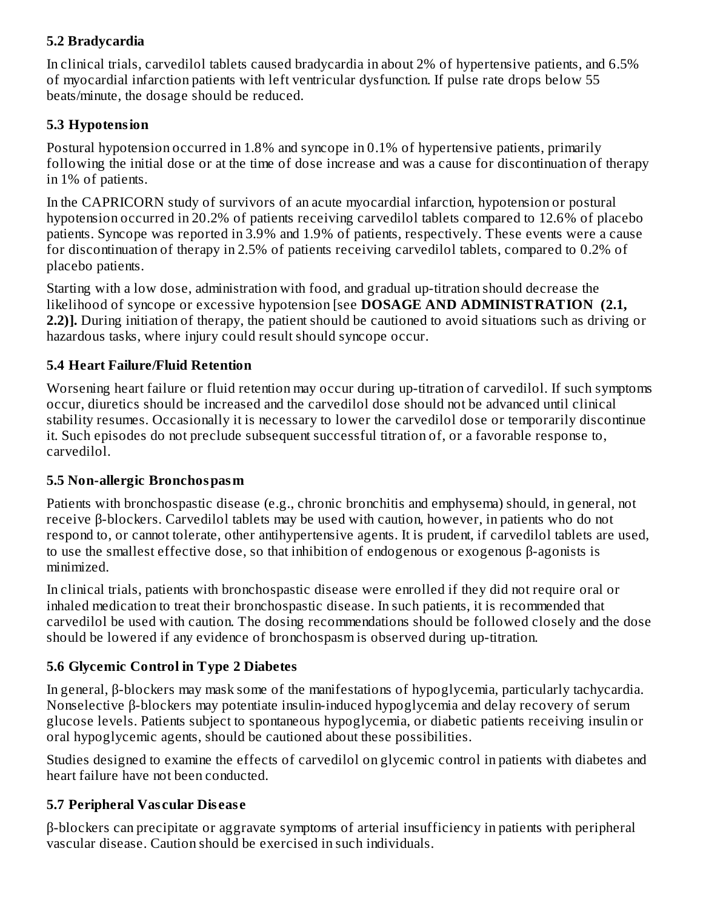# **5.2 Bradycardia**

In clinical trials, carvedilol tablets caused bradycardia in about 2% of hypertensive patients, and 6.5% of myocardial infarction patients with left ventricular dysfunction. If pulse rate drops below 55 beats/minute, the dosage should be reduced.

#### **5.3 Hypotension**

Postural hypotension occurred in 1.8% and syncope in 0.1% of hypertensive patients, primarily following the initial dose or at the time of dose increase and was a cause for discontinuation of therapy in 1% of patients.

In the CAPRICORN study of survivors of an acute myocardial infarction, hypotension or postural hypotension occurred in 20.2% of patients receiving carvedilol tablets compared to 12.6% of placebo patients. Syncope was reported in 3.9% and 1.9% of patients, respectively. These events were a cause for discontinuation of therapy in 2.5% of patients receiving carvedilol tablets, compared to 0.2% of placebo patients.

Starting with a low dose, administration with food, and gradual up-titration should decrease the likelihood of syncope or excessive hypotension [see **DOSAGE AND ADMINISTRATION (2.1, 2.2)].** During initiation of therapy, the patient should be cautioned to avoid situations such as driving or hazardous tasks, where injury could result should syncope occur.

#### **5.4 Heart Failure/Fluid Retention**

Worsening heart failure or fluid retention may occur during up-titration of carvedilol. If such symptoms occur, diuretics should be increased and the carvedilol dose should not be advanced until clinical stability resumes. Occasionally it is necessary to lower the carvedilol dose or temporarily discontinue it. Such episodes do not preclude subsequent successful titration of, or a favorable response to, carvedilol.

#### **5.5 Non-allergic Bronchospasm**

Patients with bronchospastic disease (e.g., chronic bronchitis and emphysema) should, in general, not receive β-blockers. Carvedilol tablets may be used with caution, however, in patients who do not respond to, or cannot tolerate, other antihypertensive agents. It is prudent, if carvedilol tablets are used, to use the smallest effective dose, so that inhibition of endogenous or exogenous β-agonists is minimized.

In clinical trials, patients with bronchospastic disease were enrolled if they did not require oral or inhaled medication to treat their bronchospastic disease. In such patients, it is recommended that carvedilol be used with caution. The dosing recommendations should be followed closely and the dose should be lowered if any evidence of bronchospasm is observed during up-titration.

# **5.6 Glycemic Control in Type 2 Diabetes**

In general, β-blockers may mask some of the manifestations of hypoglycemia, particularly tachycardia. Nonselective β-blockers may potentiate insulin-induced hypoglycemia and delay recovery of serum glucose levels. Patients subject to spontaneous hypoglycemia, or diabetic patients receiving insulin or oral hypoglycemic agents, should be cautioned about these possibilities.

Studies designed to examine the effects of carvedilol on glycemic control in patients with diabetes and heart failure have not been conducted.

# **5.7 Peripheral Vas cular Dis eas e**

β-blockers can precipitate or aggravate symptoms of arterial insufficiency in patients with peripheral vascular disease. Caution should be exercised in such individuals.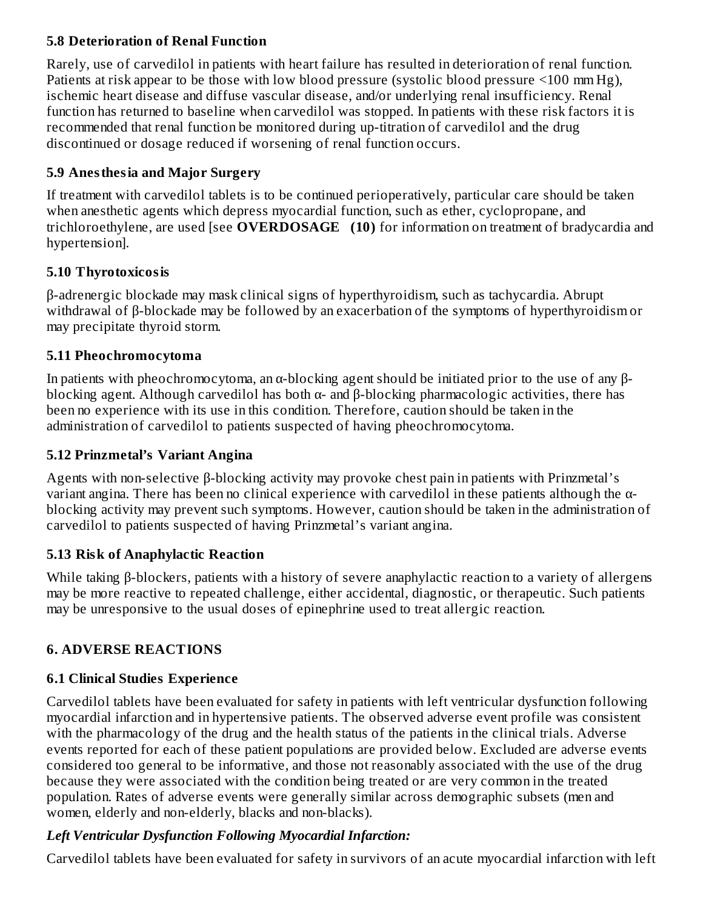#### **5.8 Deterioration of Renal Function**

Rarely, use of carvedilol in patients with heart failure has resulted in deterioration of renal function. Patients at risk appear to be those with low blood pressure (systolic blood pressure <100 mm Hg), ischemic heart disease and diffuse vascular disease, and/or underlying renal insufficiency. Renal function has returned to baseline when carvedilol was stopped. In patients with these risk factors it is recommended that renal function be monitored during up-titration of carvedilol and the drug discontinued or dosage reduced if worsening of renal function occurs.

# **5.9 Anesthesia and Major Surgery**

If treatment with carvedilol tablets is to be continued perioperatively, particular care should be taken when anesthetic agents which depress myocardial function, such as ether, cyclopropane, and trichloroethylene, are used [see **OVERDOSAGE (10)** for information on treatment of bradycardia and hypertension].

# **5.10 Thyrotoxicosis**

β-adrenergic blockade may mask clinical signs of hyperthyroidism, such as tachycardia. Abrupt withdrawal of β-blockade may be followed by an exacerbation of the symptoms of hyperthyroidism or may precipitate thyroid storm.

#### **5.11 Pheochromocytoma**

In patients with pheochromocytoma, an α-blocking agent should be initiated prior to the use of any βblocking agent. Although carvedilol has both  $\alpha$ - and  $\beta$ -blocking pharmacologic activities, there has been no experience with its use in this condition. Therefore, caution should be taken in the administration of carvedilol to patients suspected of having pheochromocytoma.

# **5.12 Prinzmetal's Variant Angina**

Agents with non-selective β-blocking activity may provoke chest pain in patients with Prinzmetal's variant angina. There has been no clinical experience with carvedilol in these patients although the αblocking activity may prevent such symptoms. However, caution should be taken in the administration of carvedilol to patients suspected of having Prinzmetal's variant angina.

# **5.13 Risk of Anaphylactic Reaction**

While taking β-blockers, patients with a history of severe anaphylactic reaction to a variety of allergens may be more reactive to repeated challenge, either accidental, diagnostic, or therapeutic. Such patients may be unresponsive to the usual doses of epinephrine used to treat allergic reaction.

# **6. ADVERSE REACTIONS**

# **6.1 Clinical Studies Experience**

Carvedilol tablets have been evaluated for safety in patients with left ventricular dysfunction following myocardial infarction and in hypertensive patients. The observed adverse event profile was consistent with the pharmacology of the drug and the health status of the patients in the clinical trials. Adverse events reported for each of these patient populations are provided below. Excluded are adverse events considered too general to be informative, and those not reasonably associated with the use of the drug because they were associated with the condition being treated or are very common in the treated population. Rates of adverse events were generally similar across demographic subsets (men and women, elderly and non-elderly, blacks and non-blacks).

# *Left Ventricular Dysfunction Following Myocardial Infarction:*

Carvedilol tablets have been evaluated for safety in survivors of an acute myocardial infarction with left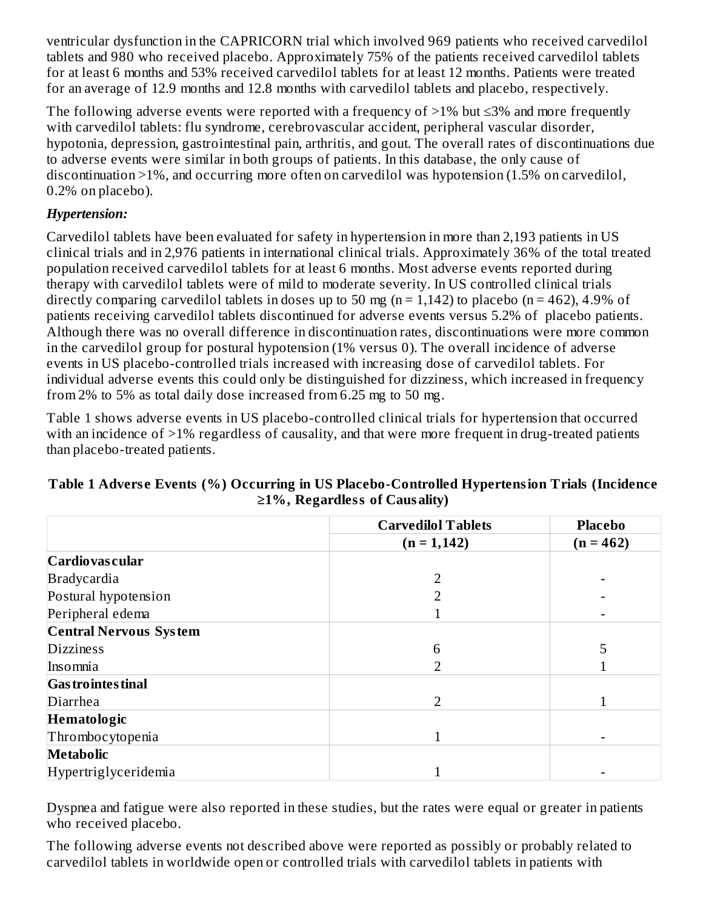ventricular dysfunction in the CAPRICORN trial which involved 969 patients who received carvedilol tablets and 980 who received placebo. Approximately 75% of the patients received carvedilol tablets for at least 6 months and 53% received carvedilol tablets for at least 12 months. Patients were treated for an average of 12.9 months and 12.8 months with carvedilol tablets and placebo, respectively.

The following adverse events were reported with a frequency of  $>1\%$  but  $\leq 3\%$  and more frequently with carvedilol tablets: flu syndrome, cerebrovascular accident, peripheral vascular disorder, hypotonia, depression, gastrointestinal pain, arthritis, and gout. The overall rates of discontinuations due to adverse events were similar in both groups of patients. In this database, the only cause of discontinuation >1%, and occurring more often on carvedilol was hypotension (1.5% on carvedilol, 0.2% on placebo).

# *Hypertension:*

Carvedilol tablets have been evaluated for safety in hypertension in more than 2,193 patients in US clinical trials and in 2,976 patients in international clinical trials. Approximately 36% of the total treated population received carvedilol tablets for at least 6 months. Most adverse events reported during therapy with carvedilol tablets were of mild to moderate severity. In US controlled clinical trials directly comparing carvedilol tablets in doses up to 50 mg ( $n = 1,142$ ) to placebo ( $n = 462$ ), 4.9% of patients receiving carvedilol tablets discontinued for adverse events versus 5.2% of placebo patients. Although there was no overall difference in discontinuation rates, discontinuations were more common in the carvedilol group for postural hypotension (1% versus 0). The overall incidence of adverse events in US placebo-controlled trials increased with increasing dose of carvedilol tablets. For individual adverse events this could only be distinguished for dizziness, which increased in frequency from 2% to 5% as total daily dose increased from 6.25 mg to 50 mg.

Table 1 shows adverse events in US placebo-controlled clinical trials for hypertension that occurred with an incidence of >1% regardless of causality, and that were more frequent in drug-treated patients than placebo-treated patients.

|                               | <b>Carvedilol Tablets</b> | <b>Placebo</b> |
|-------------------------------|---------------------------|----------------|
|                               | $(n = 1, 142)$            | $(n = 462)$    |
| Cardiovas cular               |                           |                |
| <b>Bradycardia</b>            | ר                         |                |
| Postural hypotension          |                           |                |
| Peripheral edema              |                           |                |
| <b>Central Nervous System</b> |                           |                |
| <b>Dizziness</b>              | 6                         | 5              |
| Insomnia                      | 2                         |                |
| <b>Gas trointes tinal</b>     |                           |                |
| Diarrhea                      | $\mathcal{P}$             |                |
| Hematologic                   |                           |                |
| Thrombocytopenia              | 1                         |                |
| <b>Metabolic</b>              |                           |                |
| Hypertriglyceridemia          |                           |                |

#### **Table 1 Advers e Events (%) Occurring in US Placebo-Controlled Hypertension Trials (Incidence ≥1%, Regardless of Causality)**

Dyspnea and fatigue were also reported in these studies, but the rates were equal or greater in patients who received placebo.

The following adverse events not described above were reported as possibly or probably related to carvedilol tablets in worldwide open or controlled trials with carvedilol tablets in patients with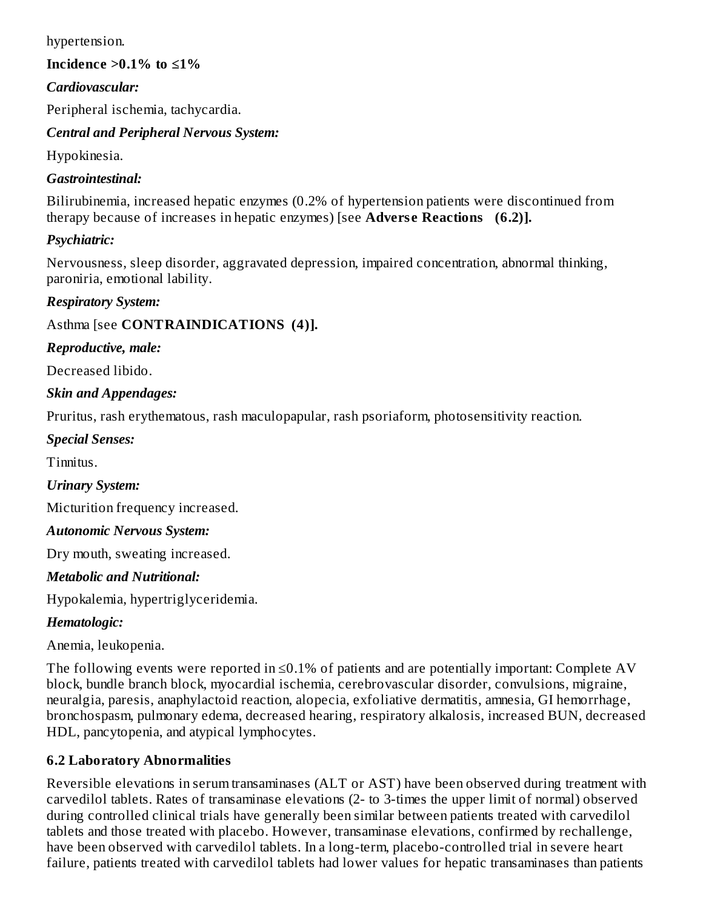hypertension.

#### **Incidence >0.1% to ≤1%**

#### *Cardiovascular:*

Peripheral ischemia, tachycardia.

#### *Central and Peripheral Nervous System:*

Hypokinesia.

#### *Gastrointestinal:*

Bilirubinemia, increased hepatic enzymes (0.2% of hypertension patients were discontinued from therapy because of increases in hepatic enzymes) [see **Adverse Reactions** (6.2)].

#### *Psychiatric:*

Nervousness, sleep disorder, aggravated depression, impaired concentration, abnormal thinking, paroniria, emotional lability.

#### *Respiratory System:*

# Asthma [see **CONTRAINDICATIONS (4)].**

#### *Reproductive, male:*

Decreased libido.

#### *Skin and Appendages:*

Pruritus, rash erythematous, rash maculopapular, rash psoriaform, photosensitivity reaction.

#### *Special Senses:*

Tinnitus.

#### *Urinary System:*

Micturition frequency increased.

#### *Autonomic Nervous System:*

Dry mouth, sweating increased.

#### *Metabolic and Nutritional:*

Hypokalemia, hypertriglyceridemia.

# *Hematologic:*

Anemia, leukopenia.

The following events were reported in  $\leq$ 0.1% of patients and are potentially important: Complete AV block, bundle branch block, myocardial ischemia, cerebrovascular disorder, convulsions, migraine, neuralgia, paresis, anaphylactoid reaction, alopecia, exfoliative dermatitis, amnesia, GI hemorrhage, bronchospasm, pulmonary edema, decreased hearing, respiratory alkalosis, increased BUN, decreased HDL, pancytopenia, and atypical lymphocytes.

# **6.2 Laboratory Abnormalities**

Reversible elevations in serum transaminases (ALT or AST) have been observed during treatment with carvedilol tablets. Rates of transaminase elevations (2- to 3-times the upper limit of normal) observed during controlled clinical trials have generally been similar between patients treated with carvedilol tablets and those treated with placebo. However, transaminase elevations, confirmed by rechallenge, have been observed with carvedilol tablets. In a long-term, placebo-controlled trial in severe heart failure, patients treated with carvedilol tablets had lower values for hepatic transaminases than patients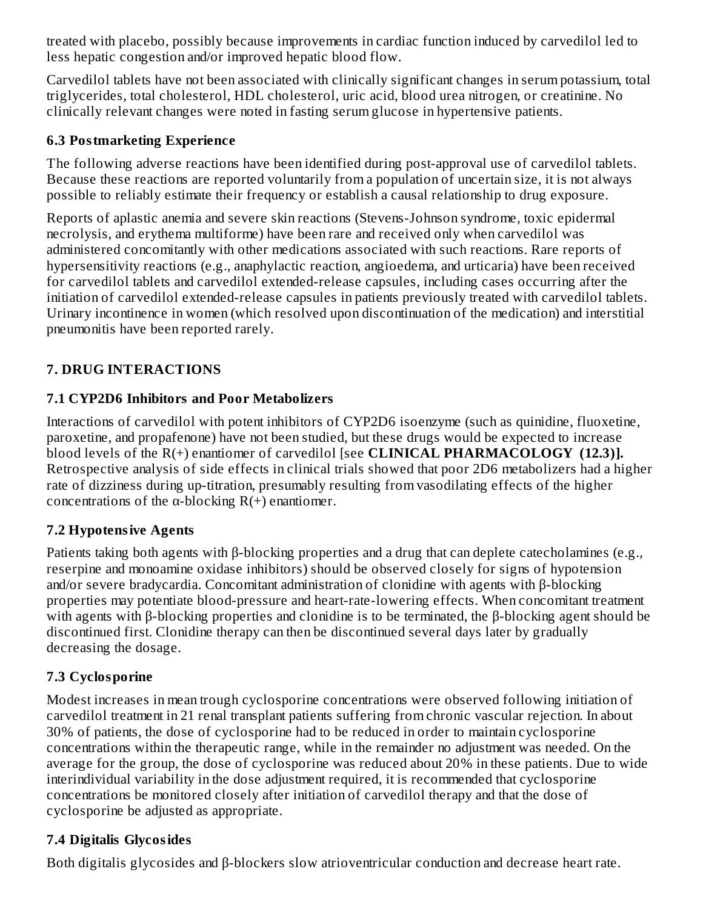treated with placebo, possibly because improvements in cardiac function induced by carvedilol led to less hepatic congestion and/or improved hepatic blood flow.

Carvedilol tablets have not been associated with clinically significant changes in serum potassium, total triglycerides, total cholesterol, HDL cholesterol, uric acid, blood urea nitrogen, or creatinine. No clinically relevant changes were noted in fasting serum glucose in hypertensive patients.

# **6.3 Postmarketing Experience**

The following adverse reactions have been identified during post-approval use of carvedilol tablets. Because these reactions are reported voluntarily from a population of uncertain size, it is not always possible to reliably estimate their frequency or establish a causal relationship to drug exposure.

Reports of aplastic anemia and severe skin reactions (Stevens-Johnson syndrome, toxic epidermal necrolysis, and erythema multiforme) have been rare and received only when carvedilol was administered concomitantly with other medications associated with such reactions. Rare reports of hypersensitivity reactions (e.g., anaphylactic reaction, angioedema, and urticaria) have been received for carvedilol tablets and carvedilol extended-release capsules, including cases occurring after the initiation of carvedilol extended-release capsules in patients previously treated with carvedilol tablets. Urinary incontinence in women (which resolved upon discontinuation of the medication) and interstitial pneumonitis have been reported rarely.

# **7. DRUG INTERACTIONS**

# **7.1 CYP2D6 Inhibitors and Poor Metabolizers**

Interactions of carvedilol with potent inhibitors of CYP2D6 isoenzyme (such as quinidine, fluoxetine, paroxetine, and propafenone) have not been studied, but these drugs would be expected to increase blood levels of the R(+) enantiomer of carvedilol [see **CLINICAL PHARMACOLOGY (12.3)].** Retrospective analysis of side effects in clinical trials showed that poor 2D6 metabolizers had a higher rate of dizziness during up-titration, presumably resulting from vasodilating effects of the higher concentrations of the  $\alpha$ -blocking R(+) enantiomer.

# **7.2 Hypotensive Agents**

Patients taking both agents with β-blocking properties and a drug that can deplete catecholamines (e.g., reserpine and monoamine oxidase inhibitors) should be observed closely for signs of hypotension and/or severe bradycardia. Concomitant administration of clonidine with agents with β-blocking properties may potentiate blood-pressure and heart-rate-lowering effects. When concomitant treatment with agents with β-blocking properties and clonidine is to be terminated, the β-blocking agent should be discontinued first. Clonidine therapy can then be discontinued several days later by gradually decreasing the dosage.

# **7.3 Cyclosporine**

Modest increases in mean trough cyclosporine concentrations were observed following initiation of carvedilol treatment in 21 renal transplant patients suffering from chronic vascular rejection. In about 30% of patients, the dose of cyclosporine had to be reduced in order to maintain cyclosporine concentrations within the therapeutic range, while in the remainder no adjustment was needed. On the average for the group, the dose of cyclosporine was reduced about 20% in these patients. Due to wide interindividual variability in the dose adjustment required, it is recommended that cyclosporine concentrations be monitored closely after initiation of carvedilol therapy and that the dose of cyclosporine be adjusted as appropriate.

# **7.4 Digitalis Glycosides**

Both digitalis glycosides and β-blockers slow atrioventricular conduction and decrease heart rate.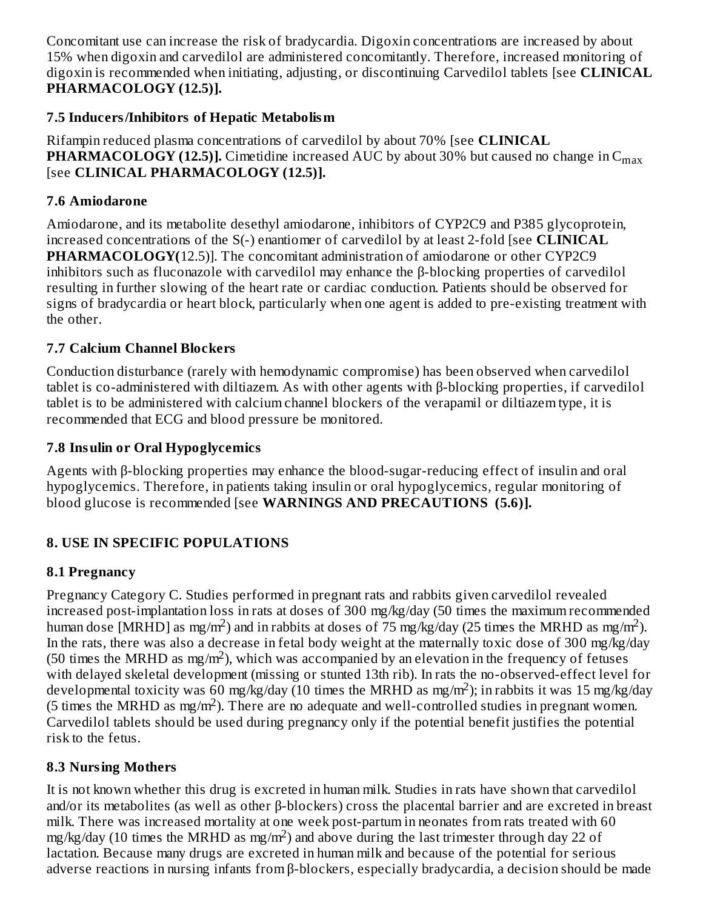Concomitant use can increase the risk of bradycardia. Digoxin concentrations are increased by about 15% when digoxin and carvedilol are administered concomitantly. Therefore, increased monitoring of digoxin is recommended when initiating, adjusting, or discontinuing Carvedilol tablets [see **CLINICAL PHARMACOLOGY (12.5)].**

### **7.5 Inducers/Inhibitors of Hepatic Metabolism**

Rifampin reduced plasma concentrations of carvedilol by about 70% [see **CLINICAL PHARMACOLOGY (12.5)].** Cimetidine increased AUC by about 30% but caused no change in C max [see **CLINICAL PHARMACOLOGY (12.5)].**

# **7.6 Amiodarone**

Amiodarone, and its metabolite desethyl amiodarone, inhibitors of CYP2C9 and P385 glycoprotein, increased concentrations of the S(-) enantiomer of carvedilol by at least 2-fold [see **CLINICAL PHARMACOLOGY(**12.5)]. The concomitant administration of amiodarone or other CYP2C9 inhibitors such as fluconazole with carvedilol may enhance the β-blocking properties of carvedilol resulting in further slowing of the heart rate or cardiac conduction. Patients should be observed for signs of bradycardia or heart block, particularly when one agent is added to pre-existing treatment with the other.

# **7.7 Calcium Channel Blockers**

Conduction disturbance (rarely with hemodynamic compromise) has been observed when carvedilol tablet is co-administered with diltiazem. As with other agents with β-blocking properties, if carvedilol tablet is to be administered with calcium channel blockers of the verapamil or diltiazem type, it is recommended that ECG and blood pressure be monitored.

# **7.8 Insulin or Oral Hypoglycemics**

Agents with β-blocking properties may enhance the blood-sugar-reducing effect of insulin and oral hypoglycemics. Therefore, in patients taking insulin or oral hypoglycemics, regular monitoring of blood glucose is recommended [see **WARNINGS AND PRECAUTIONS (5.6)].**

# **8. USE IN SPECIFIC POPULATIONS**

# **8.1 Pregnancy**

Pregnancy Category C. Studies performed in pregnant rats and rabbits given carvedilol revealed increased post-implantation loss in rats at doses of 300 mg/kg/day (50 times the maximum recommended human dose [MRHD] as mg/m<sup>2</sup>) and in rabbits at doses of  $\overline{75}$  mg/kg/day (25 times the MRHD as mg/m<sup>2</sup>). In the rats, there was also a decrease in fetal body weight at the maternally toxic dose of 300 mg/kg/day (50 times the MRHD as mg/m<sup>2</sup>), which was accompanied by an elevation in the frequency of fetuses with delayed skeletal development (missing or stunted 13th rib). In rats the no-observed-effect level for developmental toxicity was 60 mg/kg/day (10 times the MRHD as mg/m<sup>2</sup>); in rabbits it was 15 mg/kg/day (5 times the MRHD as mg/m<sup>2</sup>). There are no adequate and well-controlled studies in pregnant women. Carvedilol tablets should be used during pregnancy only if the potential benefit justifies the potential risk to the fetus.

# **8.3 Nursing Mothers**

It is not known whether this drug is excreted in human milk. Studies in rats have shown that carvedilol and/or its metabolites (as well as other β-blockers) cross the placental barrier and are excreted in breast milk. There was increased mortality at one week post-partum in neonates from rats treated with 60 mg/kg/day (10 times the MRHD as mg/m<sup>2</sup>) and above during the last trimester through day 22 of lactation. Because many drugs are excreted in human milk and because of the potential for serious adverse reactions in nursing infants from β-blockers, especially bradycardia, a decision should be made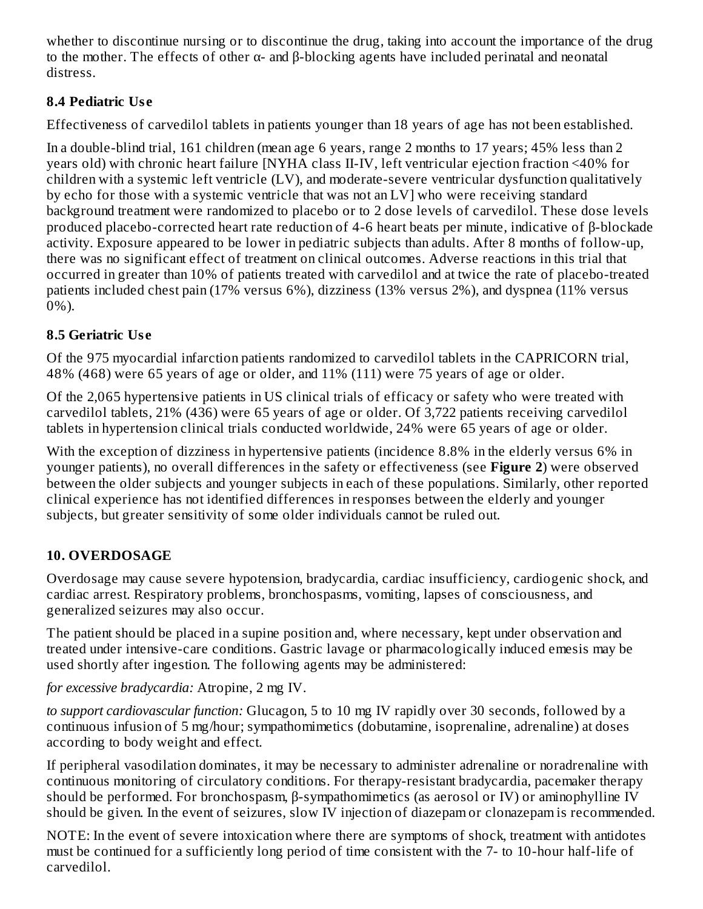whether to discontinue nursing or to discontinue the drug, taking into account the importance of the drug to the mother. The effects of other  $\alpha$ - and  $\beta$ -blocking agents have included perinatal and neonatal distress.

# **8.4 Pediatric Us e**

Effectiveness of carvedilol tablets in patients younger than 18 years of age has not been established.

In a double-blind trial, 161 children (mean age 6 years, range 2 months to 17 years; 45% less than 2 years old) with chronic heart failure [NYHA class II-IV, left ventricular ejection fraction <40% for children with a systemic left ventricle (LV), and moderate-severe ventricular dysfunction qualitatively by echo for those with a systemic ventricle that was not an LV] who were receiving standard background treatment were randomized to placebo or to 2 dose levels of carvedilol. These dose levels produced placebo-corrected heart rate reduction of 4-6 heart beats per minute, indicative of β-blockade activity. Exposure appeared to be lower in pediatric subjects than adults. After 8 months of follow-up, there was no significant effect of treatment on clinical outcomes. Adverse reactions in this trial that occurred in greater than 10% of patients treated with carvedilol and at twice the rate of placebo-treated patients included chest pain (17% versus 6%), dizziness (13% versus 2%), and dyspnea (11% versus 0%).

# **8.5 Geriatric Us e**

Of the 975 myocardial infarction patients randomized to carvedilol tablets in the CAPRICORN trial, 48% (468) were 65 years of age or older, and 11% (111) were 75 years of age or older.

Of the 2,065 hypertensive patients in US clinical trials of efficacy or safety who were treated with carvedilol tablets, 21% (436) were 65 years of age or older. Of 3,722 patients receiving carvedilol tablets in hypertension clinical trials conducted worldwide, 24% were 65 years of age or older.

With the exception of dizziness in hypertensive patients (incidence 8.8% in the elderly versus 6% in younger patients), no overall differences in the safety or effectiveness (see **Figure 2**) were observed between the older subjects and younger subjects in each of these populations. Similarly, other reported clinical experience has not identified differences in responses between the elderly and younger subjects, but greater sensitivity of some older individuals cannot be ruled out.

# **10. OVERDOSAGE**

Overdosage may cause severe hypotension, bradycardia, cardiac insufficiency, cardiogenic shock, and cardiac arrest. Respiratory problems, bronchospasms, vomiting, lapses of consciousness, and generalized seizures may also occur.

The patient should be placed in a supine position and, where necessary, kept under observation and treated under intensive-care conditions. Gastric lavage or pharmacologically induced emesis may be used shortly after ingestion. The following agents may be administered:

*for excessive bradycardia:* Atropine, 2 mg IV.

*to support cardiovascular function:* Glucagon, 5 to 10 mg IV rapidly over 30 seconds, followed by a continuous infusion of 5 mg/hour; sympathomimetics (dobutamine, isoprenaline, adrenaline) at doses according to body weight and effect.

If peripheral vasodilation dominates, it may be necessary to administer adrenaline or noradrenaline with continuous monitoring of circulatory conditions. For therapy-resistant bradycardia, pacemaker therapy should be performed. For bronchospasm, β-sympathomimetics (as aerosol or IV) or aminophylline IV should be given. In the event of seizures, slow IV injection of diazepam or clonazepam is recommended.

NOTE: In the event of severe intoxication where there are symptoms of shock, treatment with antidotes must be continued for a sufficiently long period of time consistent with the 7- to 10-hour half-life of carvedilol.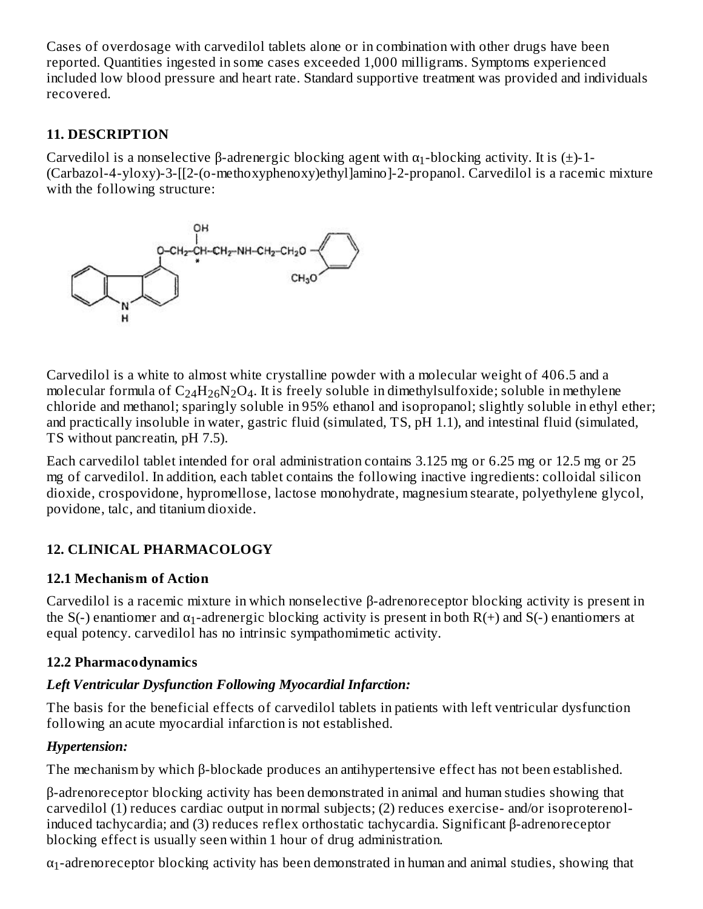Cases of overdosage with carvedilol tablets alone or in combination with other drugs have been reported. Quantities ingested in some cases exceeded 1,000 milligrams. Symptoms experienced included low blood pressure and heart rate. Standard supportive treatment was provided and individuals recovered.

# **11. DESCRIPTION**

Carvedilol is a nonselective β-adrenergic blocking agent with  $α_1$ -blocking activity. It is (±)-1-(Carbazol-4-yloxy)-3-[[2-(o-methoxyphenoxy)ethyl]amino]-2-propanol. Carvedilol is a racemic mixture with the following structure:



Carvedilol is a white to almost white crystalline powder with a molecular weight of 406.5 and a molecular formula of  $\rm{C_{24}H_{26}N_2O_4}$ . It is freely soluble in dimethylsulfoxide; soluble in methylene chloride and methanol; sparingly soluble in 95% ethanol and isopropanol; slightly soluble in ethyl ether; and practically insoluble in water, gastric fluid (simulated, TS, pH 1.1), and intestinal fluid (simulated, TS without pancreatin, pH 7.5).

Each carvedilol tablet intended for oral administration contains 3.125 mg or 6.25 mg or 12.5 mg or 25 mg of carvedilol. In addition, each tablet contains the following inactive ingredients: colloidal silicon dioxide, crospovidone, hypromellose, lactose monohydrate, magnesium stearate, polyethylene glycol, povidone, talc, and titanium dioxide.

# **12. CLINICAL PHARMACOLOGY**

# **12.1 Mechanism of Action**

Carvedilol is a racemic mixture in which nonselective β-adrenoreceptor blocking activity is present in the S(-) enantiomer and  $\alpha_1$ -adrenergic blocking activity is present in both R(+) and S(-) enantiomers at equal potency. carvedilol has no intrinsic sympathomimetic activity.

# **12.2 Pharmacodynamics**

# *Left Ventricular Dysfunction Following Myocardial Infarction:*

The basis for the beneficial effects of carvedilol tablets in patients with left ventricular dysfunction following an acute myocardial infarction is not established.

# *Hypertension:*

The mechanism by which β-blockade produces an antihypertensive effect has not been established.

β-adrenoreceptor blocking activity has been demonstrated in animal and human studies showing that carvedilol (1) reduces cardiac output in normal subjects; (2) reduces exercise- and/or isoproterenolinduced tachycardia; and (3) reduces reflex orthostatic tachycardia. Significant β-adrenoreceptor blocking effect is usually seen within 1 hour of drug administration.

 $\alpha_1$ -adrenoreceptor blocking activity has been demonstrated in human and animal studies, showing that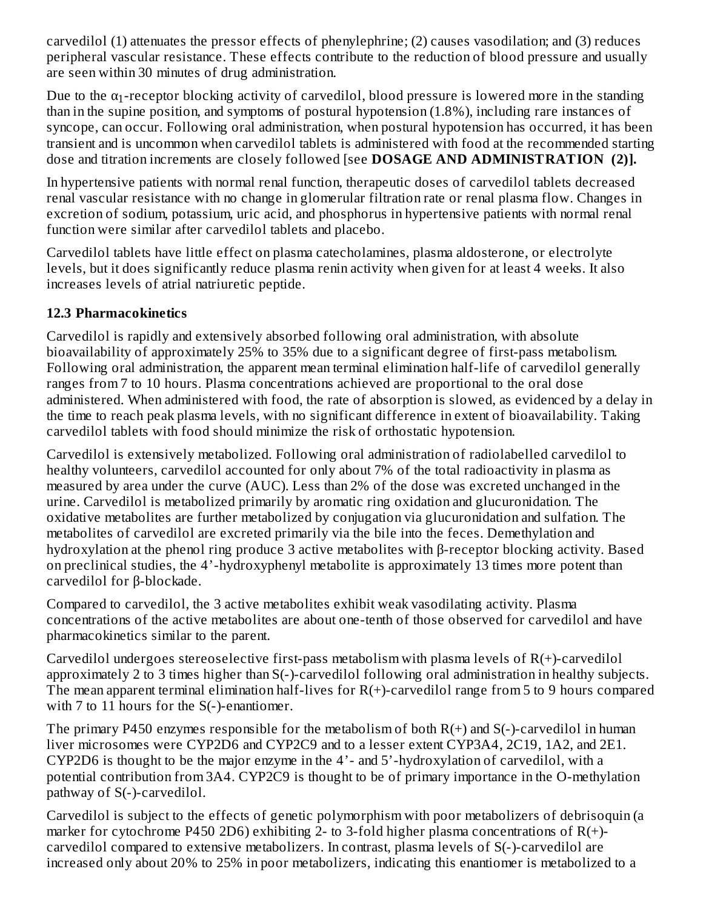carvedilol (1) attenuates the pressor effects of phenylephrine; (2) causes vasodilation; and (3) reduces peripheral vascular resistance. These effects contribute to the reduction of blood pressure and usually are seen within 30 minutes of drug administration.  $\overline{a}$ 

Due to the  $\alpha_1$ -receptor blocking activity of carvedilol, blood pressure is lowered more in the standing than in the supine position, and symptoms of postural hypotension (1.8%), including rare instances of syncope, can occur. Following oral administration, when postural hypotension has occurred, it has been transient and is uncommon when carvedilol tablets is administered with food at the recommended starting dose and titration increments are closely followed [see **DOSAGE AND ADMINISTRATION (2)].**

In hypertensive patients with normal renal function, therapeutic doses of carvedilol tablets decreased renal vascular resistance with no change in glomerular filtration rate or renal plasma flow. Changes in excretion of sodium, potassium, uric acid, and phosphorus in hypertensive patients with normal renal function were similar after carvedilol tablets and placebo.

Carvedilol tablets have little effect on plasma catecholamines, plasma aldosterone, or electrolyte levels, but it does significantly reduce plasma renin activity when given for at least 4 weeks. It also increases levels of atrial natriuretic peptide.

# **12.3 Pharmacokinetics**

Carvedilol is rapidly and extensively absorbed following oral administration, with absolute bioavailability of approximately 25% to 35% due to a significant degree of first-pass metabolism. Following oral administration, the apparent mean terminal elimination half-life of carvedilol generally ranges from 7 to 10 hours. Plasma concentrations achieved are proportional to the oral dose administered. When administered with food, the rate of absorption is slowed, as evidenced by a delay in the time to reach peak plasma levels, with no significant difference in extent of bioavailability. Taking carvedilol tablets with food should minimize the risk of orthostatic hypotension.

Carvedilol is extensively metabolized. Following oral administration of radiolabelled carvedilol to healthy volunteers, carvedilol accounted for only about 7% of the total radioactivity in plasma as measured by area under the curve (AUC). Less than 2% of the dose was excreted unchanged in the urine. Carvedilol is metabolized primarily by aromatic ring oxidation and glucuronidation. The oxidative metabolites are further metabolized by conjugation via glucuronidation and sulfation. The metabolites of carvedilol are excreted primarily via the bile into the feces. Demethylation and hydroxylation at the phenol ring produce 3 active metabolites with β-receptor blocking activity. Based on preclinical studies, the 4'-hydroxyphenyl metabolite is approximately 13 times more potent than carvedilol for β-blockade.

Compared to carvedilol, the 3 active metabolites exhibit weak vasodilating activity. Plasma concentrations of the active metabolites are about one-tenth of those observed for carvedilol and have pharmacokinetics similar to the parent.

Carvedilol undergoes stereoselective first-pass metabolism with plasma levels of R(+)-carvedilol approximately 2 to 3 times higher than S(-)-carvedilol following oral administration in healthy subjects. The mean apparent terminal elimination half-lives for R(+)-carvedilol range from 5 to 9 hours compared with 7 to 11 hours for the S(-)-enantiomer.

The primary P450 enzymes responsible for the metabolism of both  $R(+)$  and  $S(-)$ -carvedilol in human liver microsomes were CYP2D6 and CYP2C9 and to a lesser extent CYP3A4, 2C19, 1A2, and 2E1. CYP2D6 is thought to be the major enzyme in the 4'- and 5'-hydroxylation of carvedilol, with a potential contribution from 3A4. CYP2C9 is thought to be of primary importance in the O-methylation pathway of S(-)-carvedilol.

Carvedilol is subject to the effects of genetic polymorphism with poor metabolizers of debrisoquin (a marker for cytochrome P450 2D6) exhibiting 2- to 3-fold higher plasma concentrations of R(+)carvedilol compared to extensive metabolizers. In contrast, plasma levels of S(-)-carvedilol are increased only about 20% to 25% in poor metabolizers, indicating this enantiomer is metabolized to a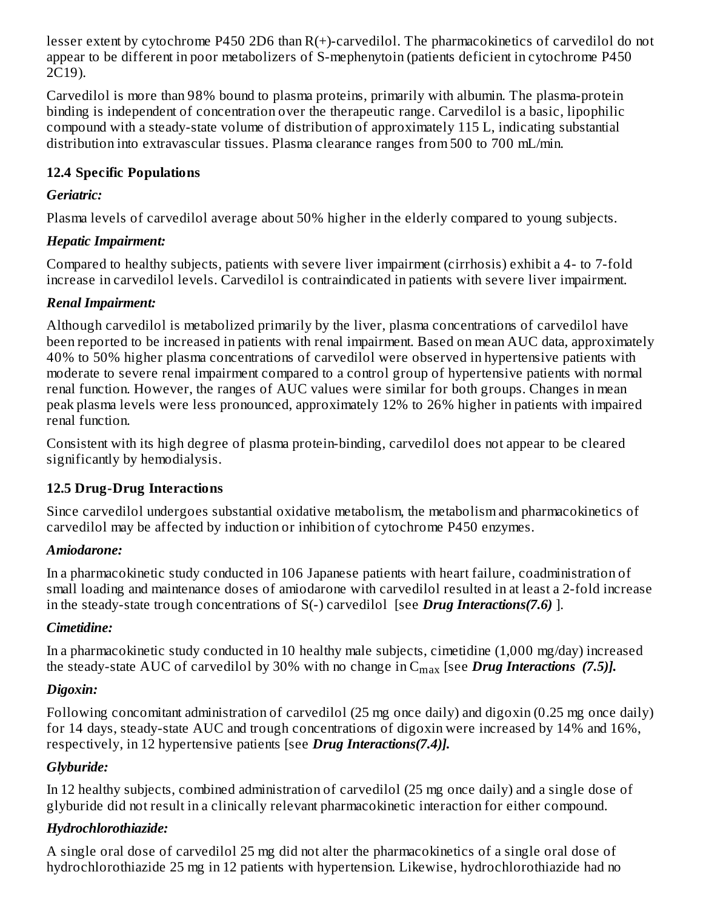lesser extent by cytochrome P450 2D6 than R(+)-carvedilol. The pharmacokinetics of carvedilol do not appear to be different in poor metabolizers of S-mephenytoin (patients deficient in cytochrome P450 2C19).

Carvedilol is more than 98% bound to plasma proteins, primarily with albumin. The plasma-protein binding is independent of concentration over the therapeutic range. Carvedilol is a basic, lipophilic compound with a steady-state volume of distribution of approximately 115 L, indicating substantial distribution into extravascular tissues. Plasma clearance ranges from 500 to 700 mL/min.

# **12.4 Specific Populations**

#### *Geriatric:*

Plasma levels of carvedilol average about 50% higher in the elderly compared to young subjects.

# *Hepatic Impairment:*

Compared to healthy subjects, patients with severe liver impairment (cirrhosis) exhibit a 4- to 7-fold increase in carvedilol levels. Carvedilol is contraindicated in patients with severe liver impairment.

# *Renal Impairment:*

Although carvedilol is metabolized primarily by the liver, plasma concentrations of carvedilol have been reported to be increased in patients with renal impairment. Based on mean AUC data, approximately 40% to 50% higher plasma concentrations of carvedilol were observed in hypertensive patients with moderate to severe renal impairment compared to a control group of hypertensive patients with normal renal function. However, the ranges of AUC values were similar for both groups. Changes in mean peak plasma levels were less pronounced, approximately 12% to 26% higher in patients with impaired renal function.

Consistent with its high degree of plasma protein-binding, carvedilol does not appear to be cleared significantly by hemodialysis.

# **12.5 Drug-Drug Interactions**

Since carvedilol undergoes substantial oxidative metabolism, the metabolism and pharmacokinetics of carvedilol may be affected by induction or inhibition of cytochrome P450 enzymes.

# *Amiodarone:*

In a pharmacokinetic study conducted in 106 Japanese patients with heart failure, coadministration of small loading and maintenance doses of amiodarone with carvedilol resulted in at least a 2-fold increase in the steady-state trough concentrations of S(-) carvedilol [see *Drug Interactions(7.6)* ].

# *Cimetidine:*

In a pharmacokinetic study conducted in 10 healthy male subjects, cimetidine (1,000 mg/day) increased the steady-state AUC of carvedilol by 30% with no change in C<sub>max</sub> [see *Drug Interactions (7.5)].* 

# *Digoxin:*

Following concomitant administration of carvedilol (25 mg once daily) and digoxin (0.25 mg once daily) for 14 days, steady-state AUC and trough concentrations of digoxin were increased by 14% and 16%, respectively, in 12 hypertensive patients [see *Drug Interactions(7.4)].*

# *Glyburide:*

In 12 healthy subjects, combined administration of carvedilol (25 mg once daily) and a single dose of glyburide did not result in a clinically relevant pharmacokinetic interaction for either compound.

# *Hydrochlorothiazide:*

A single oral dose of carvedilol 25 mg did not alter the pharmacokinetics of a single oral dose of hydrochlorothiazide 25 mg in 12 patients with hypertension. Likewise, hydrochlorothiazide had no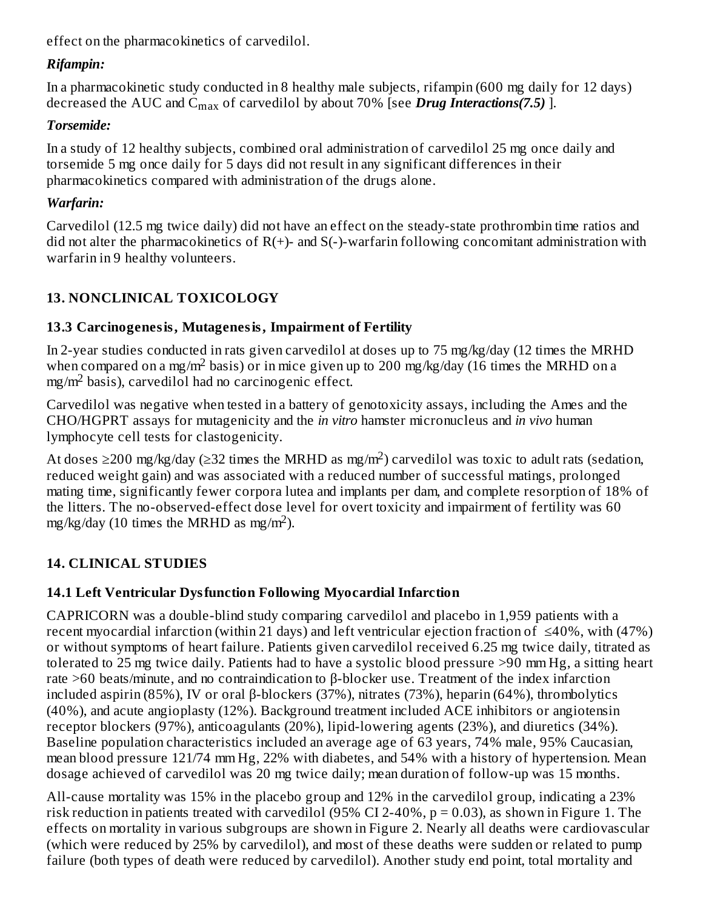effect on the pharmacokinetics of carvedilol.

# *Rifampin:*

In a pharmacokinetic study conducted in 8 healthy male subjects, rifampin (600 mg daily for 12 days) decreased the AUC and C<sub>max</sub> of carvedilol by about 70% [see *Drug Interactions(7.5)* ].

# *Torsemide:*

In a study of 12 healthy subjects, combined oral administration of carvedilol 25 mg once daily and torsemide 5 mg once daily for 5 days did not result in any significant differences in their pharmacokinetics compared with administration of the drugs alone.

# *Warfarin:*

Carvedilol (12.5 mg twice daily) did not have an effect on the steady-state prothrombin time ratios and did not alter the pharmacokinetics of  $R(+)$ - and  $S(-)$ -warfarin following concomitant administration with warfarin in 9 healthy volunteers.

# **13. NONCLINICAL TOXICOLOGY**

# **13.3 Carcinogenesis, Mutagenesis, Impairment of Fertility**

In 2-year studies conducted in rats given carvedilol at doses up to 75 mg/kg/day (12 times the MRHD when compared on a mg/m<sup>2</sup> basis) or in mice given up to 200 mg/kg/day (16 times the MRHD on a  $mg/m<sup>2</sup>$  basis), carvedilol had no carcinogenic effect.

Carvedilol was negative when tested in a battery of genotoxicity assays, including the Ames and the CHO/HGPRT assays for mutagenicity and the *in vitro* hamster micronucleus and *in vivo* human lymphocyte cell tests for clastogenicity.

At doses ≥200 mg/kg/day (≥32 times the MRHD as mg/m<sup>2</sup>) carvedilol was toxic to adult rats (sedation, reduced weight gain) and was associated with a reduced number of successful matings, prolonged mating time, significantly fewer corpora lutea and implants per dam, and complete resorption of 18% of the litters. The no-observed-effect dose level for overt toxicity and impairment of fertility was 60 mg/kg/day (10 times the MRHD as mg/m<sup>2</sup>).

# **14. CLINICAL STUDIES**

# **14.1 Left Ventricular Dysfunction Following Myocardial Infarction**

CAPRICORN was a double-blind study comparing carvedilol and placebo in 1,959 patients with a recent myocardial infarction (within 21 days) and left ventricular ejection fraction of ≤40%, with (47%) or without symptoms of heart failure. Patients given carvedilol received 6.25 mg twice daily, titrated as tolerated to 25 mg twice daily. Patients had to have a systolic blood pressure >90 mm Hg, a sitting heart rate >60 beats/minute, and no contraindication to β-blocker use. Treatment of the index infarction included aspirin (85%), IV or oral β-blockers (37%), nitrates (73%), heparin (64%), thrombolytics (40%), and acute angioplasty (12%). Background treatment included ACE inhibitors or angiotensin receptor blockers (97%), anticoagulants (20%), lipid-lowering agents (23%), and diuretics (34%). Baseline population characteristics included an average age of 63 years, 74% male, 95% Caucasian, mean blood pressure 121/74 mm Hg, 22% with diabetes, and 54% with a history of hypertension. Mean dosage achieved of carvedilol was 20 mg twice daily; mean duration of follow-up was 15 months.

All-cause mortality was 15% in the placebo group and 12% in the carvedilol group, indicating a 23% risk reduction in patients treated with carvedilol (95% CI 2-40%, p = 0.03), as shown in Figure 1. The effects on mortality in various subgroups are shown in Figure 2. Nearly all deaths were cardiovascular (which were reduced by 25% by carvedilol), and most of these deaths were sudden or related to pump failure (both types of death were reduced by carvedilol). Another study end point, total mortality and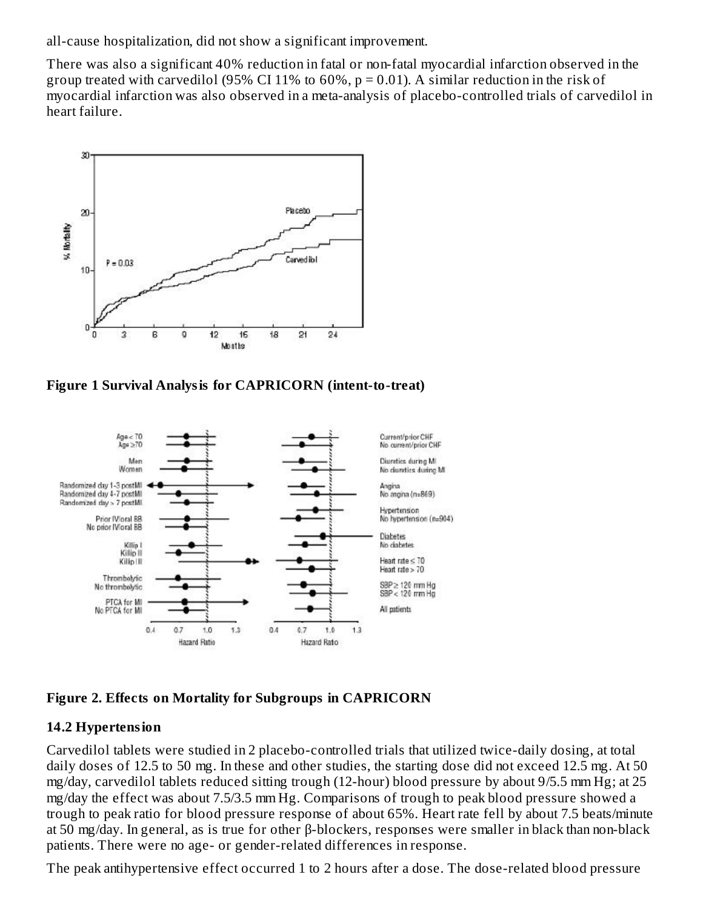all-cause hospitalization, did not show a significant improvement.

There was also a significant 40% reduction in fatal or non-fatal myocardial infarction observed in the group treated with carvedilol (95% CI 11% to  $60\%$ , p = 0.01). A similar reduction in the risk of myocardial infarction was also observed in a meta-analysis of placebo-controlled trials of carvedilol in heart failure.



**Figure 1 Survival Analysis for CAPRICORN (intent-to-treat)**



#### **Figure 2. Effects on Mortality for Subgroups in CAPRICORN**

#### **14.2 Hypertension**

Carvedilol tablets were studied in 2 placebo-controlled trials that utilized twice-daily dosing, at total daily doses of 12.5 to 50 mg. In these and other studies, the starting dose did not exceed 12.5 mg. At 50 mg/day, carvedilol tablets reduced sitting trough (12-hour) blood pressure by about 9/5.5 mm Hg; at 25 mg/day the effect was about 7.5/3.5 mm Hg. Comparisons of trough to peak blood pressure showed a trough to peak ratio for blood pressure response of about 65%. Heart rate fell by about 7.5 beats/minute at 50 mg/day. In general, as is true for other β-blockers, responses were smaller in black than non-black patients. There were no age- or gender-related differences in response.

The peak antihypertensive effect occurred 1 to 2 hours after a dose. The dose-related blood pressure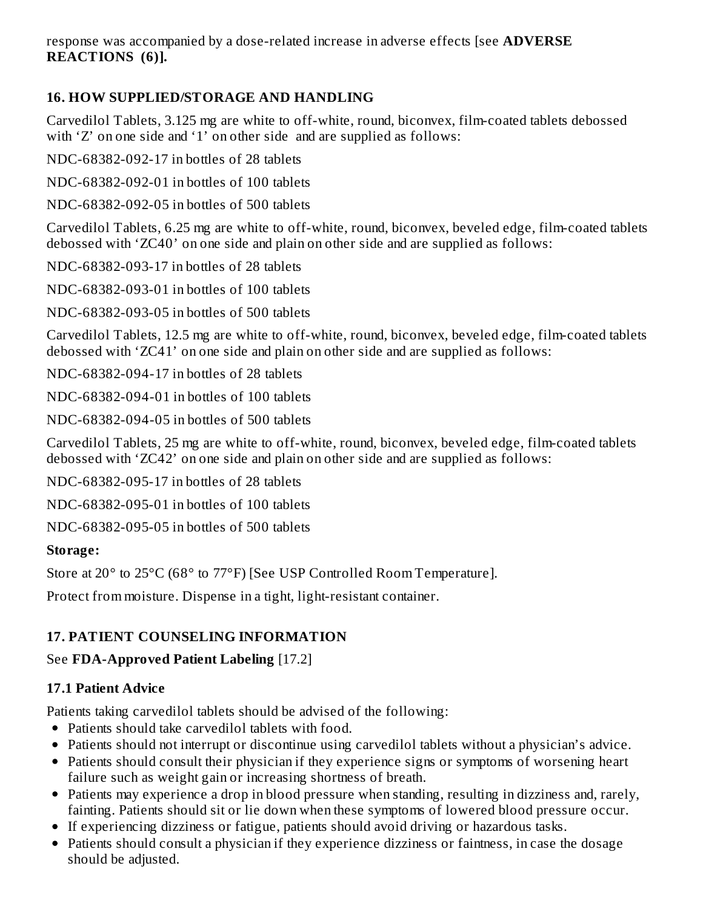response was accompanied by a dose-related increase in adverse effects [see **ADVERSE REACTIONS (6)].**

# **16. HOW SUPPLIED/STORAGE AND HANDLING**

Carvedilol Tablets, 3.125 mg are white to off-white, round, biconvex, film-coated tablets debossed with 'Z' on one side and '1' on other side and are supplied as follows:

NDC-68382-092-17 in bottles of 28 tablets

NDC-68382-092-01 in bottles of 100 tablets

NDC-68382-092-05 in bottles of 500 tablets

Carvedilol Tablets, 6.25 mg are white to off-white, round, biconvex, beveled edge, film-coated tablets debossed with 'ZC40' on one side and plain on other side and are supplied as follows:

NDC-68382-093-17 in bottles of 28 tablets

NDC-68382-093-01 in bottles of 100 tablets

NDC-68382-093-05 in bottles of 500 tablets

Carvedilol Tablets, 12.5 mg are white to off-white, round, biconvex, beveled edge, film-coated tablets debossed with 'ZC41' on one side and plain on other side and are supplied as follows:

NDC-68382-094-17 in bottles of 28 tablets

NDC-68382-094-01 in bottles of 100 tablets

NDC-68382-094-05 in bottles of 500 tablets

Carvedilol Tablets, 25 mg are white to off-white, round, biconvex, beveled edge, film-coated tablets debossed with 'ZC42' on one side and plain on other side and are supplied as follows:

NDC-68382-095-17 in bottles of 28 tablets

NDC-68382-095-01 in bottles of 100 tablets

NDC-68382-095-05 in bottles of 500 tablets

#### **Storage:**

Store at 20° to 25°C (68° to 77°F) [See USP Controlled Room Temperature].

Protect from moisture. Dispense in a tight, light-resistant container.

# **17. PATIENT COUNSELING INFORMATION**

# See **FDA-Approved Patient Labeling** [17.2]

# **17.1 Patient Advice**

Patients taking carvedilol tablets should be advised of the following:

- Patients should take carvedilol tablets with food.
- Patients should not interrupt or discontinue using carvedilol tablets without a physician's advice.
- Patients should consult their physician if they experience signs or symptoms of worsening heart failure such as weight gain or increasing shortness of breath.
- Patients may experience a drop in blood pressure when standing, resulting in dizziness and, rarely, fainting. Patients should sit or lie down when these symptoms of lowered blood pressure occur.
- If experiencing dizziness or fatigue, patients should avoid driving or hazardous tasks.
- Patients should consult a physician if they experience dizziness or faintness, in case the dosage should be adjusted.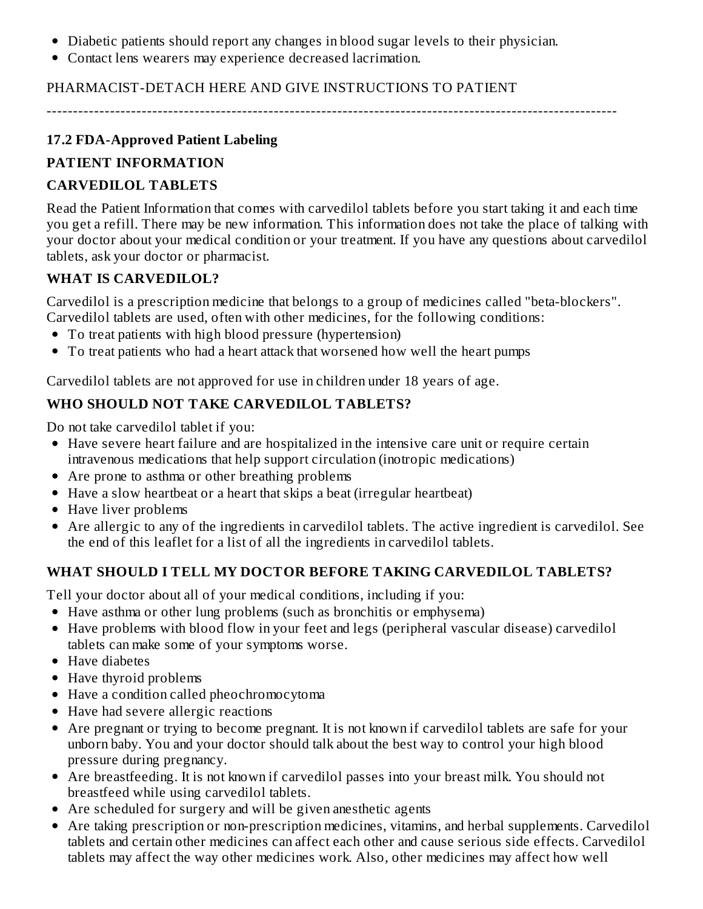- Diabetic patients should report any changes in blood sugar levels to their physician.
- Contact lens wearers may experience decreased lacrimation.

#### PHARMACIST-DETACH HERE AND GIVE INSTRUCTIONS TO PATIENT

------------------------------------------------------------------------------------------------------------

### **17.2 FDA-Approved Patient Labeling**

### **PATIENT INFORMATION**

### **CARVEDILOL TABLETS**

Read the Patient Information that comes with carvedilol tablets before you start taking it and each time you get a refill. There may be new information. This information does not take the place of talking with your doctor about your medical condition or your treatment. If you have any questions about carvedilol tablets, ask your doctor or pharmacist.

#### **WHAT IS CARVEDILOL?**

Carvedilol is a prescription medicine that belongs to a group of medicines called "beta-blockers". Carvedilol tablets are used, often with other medicines, for the following conditions:

- To treat patients with high blood pressure (hypertension)
- To treat patients who had a heart attack that worsened how well the heart pumps

Carvedilol tablets are not approved for use in children under 18 years of age.

# **WHO SHOULD NOT TAKE CARVEDILOL TABLETS?**

Do not take carvedilol tablet if you:

- Have severe heart failure and are hospitalized in the intensive care unit or require certain intravenous medications that help support circulation (inotropic medications)
- Are prone to asthma or other breathing problems
- Have a slow heartbeat or a heart that skips a beat (irregular heartbeat)
- Have liver problems
- Are allergic to any of the ingredients in carvedilol tablets. The active ingredient is carvedilol. See the end of this leaflet for a list of all the ingredients in carvedilol tablets.

# **WHAT SHOULD I TELL MY DOCTOR BEFORE TAKING CARVEDILOL TABLETS?**

Tell your doctor about all of your medical conditions, including if you:

- Have asthma or other lung problems (such as bronchitis or emphysema)
- Have problems with blood flow in your feet and legs (peripheral vascular disease) carvedilol tablets can make some of your symptoms worse.
- Have diabetes
- Have thyroid problems
- Have a condition called pheochromocytoma
- Have had severe allergic reactions
- Are pregnant or trying to become pregnant. It is not known if carvedilol tablets are safe for your unborn baby. You and your doctor should talk about the best way to control your high blood pressure during pregnancy.
- Are breastfeeding. It is not known if carvedilol passes into your breast milk. You should not breastfeed while using carvedilol tablets.
- Are scheduled for surgery and will be given anesthetic agents
- Are taking prescription or non-prescription medicines, vitamins, and herbal supplements. Carvedilol tablets and certain other medicines can affect each other and cause serious side effects. Carvedilol tablets may affect the way other medicines work. Also, other medicines may affect how well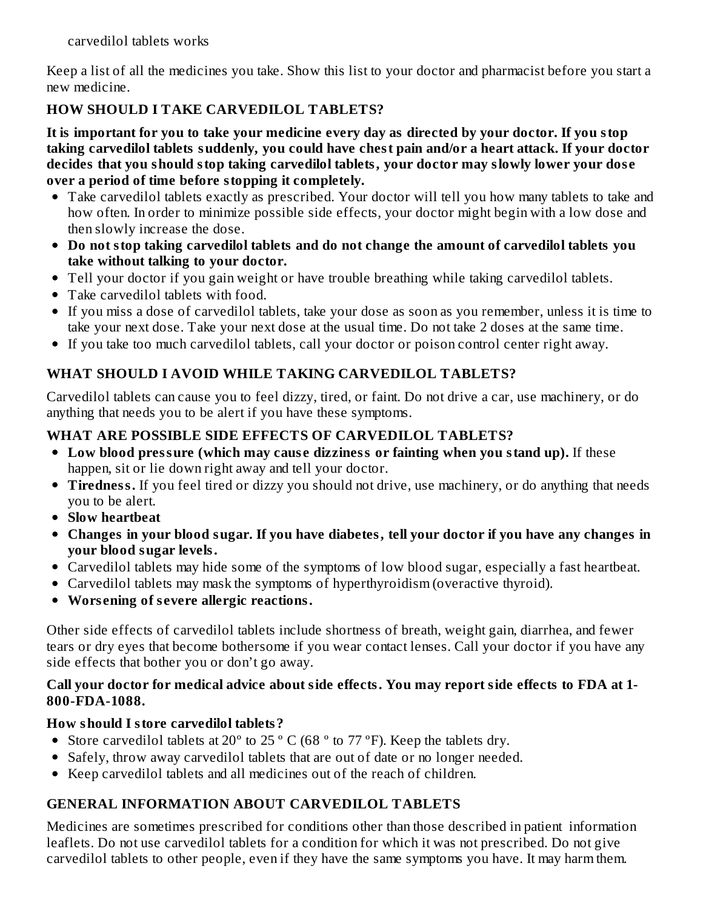carvedilol tablets works

Keep a list of all the medicines you take. Show this list to your doctor and pharmacist before you start a new medicine.

# **HOW SHOULD I TAKE CARVEDILOL TABLETS?**

It is important for you to take your medicine every day as directed by your doctor. If you stop **taking carvedilol tablets suddenly, you could have chest pain and/or a heart attack. If your doctor decides that you should stop taking carvedilol tablets, your doctor may slowly lower your dos e over a period of time before stopping it completely.**

- Take carvedilol tablets exactly as prescribed. Your doctor will tell you how many tablets to take and how often. In order to minimize possible side effects, your doctor might begin with a low dose and then slowly increase the dose.
- **Do not stop taking carvedilol tablets and do not change the amount of carvedilol tablets you take without talking to your doctor.**
- Tell your doctor if you gain weight or have trouble breathing while taking carvedilol tablets.
- Take carvedilol tablets with food.
- If you miss a dose of carvedilol tablets, take your dose as soon as you remember, unless it is time to take your next dose. Take your next dose at the usual time. Do not take 2 doses at the same time.
- If you take too much carvedilol tablets, call your doctor or poison control center right away.

# **WHAT SHOULD I AVOID WHILE TAKING CARVEDILOL TABLETS?**

Carvedilol tablets can cause you to feel dizzy, tired, or faint. Do not drive a car, use machinery, or do anything that needs you to be alert if you have these symptoms.

# **WHAT ARE POSSIBLE SIDE EFFECTS OF CARVEDILOL TABLETS?**

- **Low blood pressure (which may caus e dizziness or fainting when you stand up).** If these happen, sit or lie down right away and tell your doctor.
- **Tiredness.** If you feel tired or dizzy you should not drive, use machinery, or do anything that needs you to be alert.
- **Slow heartbeat**
- **Changes in your blood sugar. If you have diabetes, tell your doctor if you have any changes in your blood sugar levels.**
- Carvedilol tablets may hide some of the symptoms of low blood sugar, especially a fast heartbeat.
- Carvedilol tablets may mask the symptoms of hyperthyroidism (overactive thyroid).
- **Wors ening of s evere allergic reactions.**

Other side effects of carvedilol tablets include shortness of breath, weight gain, diarrhea, and fewer tears or dry eyes that become bothersome if you wear contact lenses. Call your doctor if you have any side effects that bother you or don't go away.

#### **Call your doctor for medical advice about side effects. You may report side effects to FDA at 1- 800-FDA-1088.**

# **How should I store carvedilol tablets?**

- Store carvedilol tablets at 20 $^{\circ}$  to 25 $^{\circ}$  C (68 $^{\circ}$  to 77 $^{\circ}$ F). Keep the tablets dry.
- Safely, throw away carvedilol tablets that are out of date or no longer needed.
- Keep carvedilol tablets and all medicines out of the reach of children.

# **GENERAL INFORMATION ABOUT CARVEDILOL TABLETS**

Medicines are sometimes prescribed for conditions other than those described in patient information leaflets. Do not use carvedilol tablets for a condition for which it was not prescribed. Do not give carvedilol tablets to other people, even if they have the same symptoms you have. It may harm them.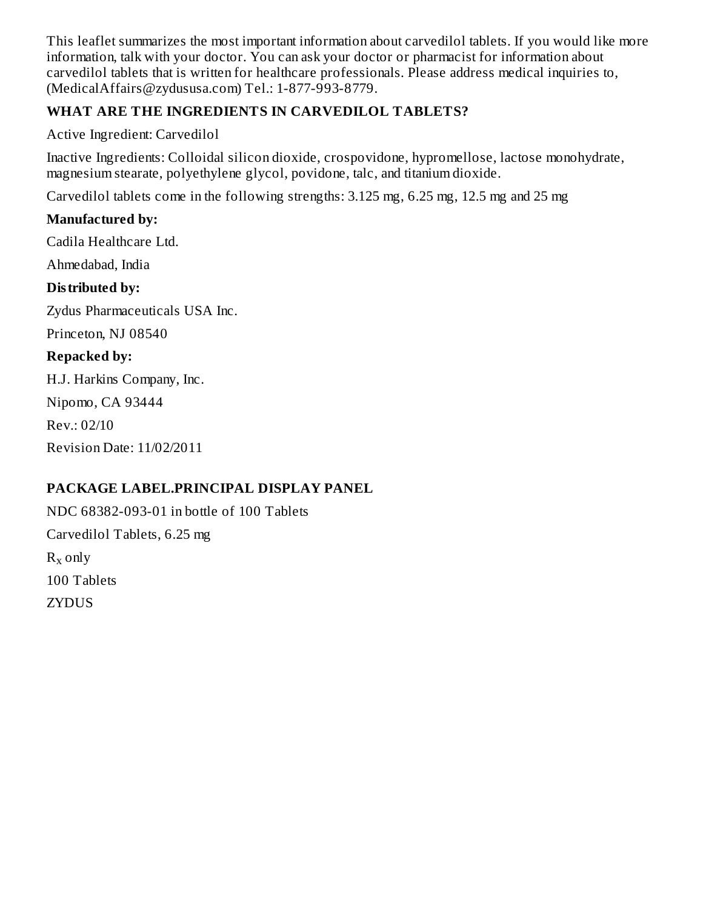This leaflet summarizes the most important information about carvedilol tablets. If you would like more information, talk with your doctor. You can ask your doctor or pharmacist for information about carvedilol tablets that is written for healthcare professionals. Please address medical inquiries to, (MedicalAffairs@zydususa.com) Tel.: 1-877-993-8779.

# **WHAT ARE THE INGREDIENTS IN CARVEDILOL TABLETS?**

Active Ingredient: Carvedilol

Inactive Ingredients: Colloidal silicon dioxide, crospovidone, hypromellose, lactose monohydrate, magnesium stearate, polyethylene glycol, povidone, talc, and titanium dioxide.

Carvedilol tablets come in the following strengths: 3.125 mg, 6.25 mg, 12.5 mg and 25 mg

# **Manufactured by:**

Cadila Healthcare Ltd.

Ahmedabad, India

# **Distributed by:**

Zydus Pharmaceuticals USA Inc.

Princeton, NJ 08540

# **Repacked by:**

H.J. Harkins Company, Inc.

Nipomo, CA 93444

Rev.: 02/10

Revision Date: 11/02/2011

# **PACKAGE LABEL.PRINCIPAL DISPLAY PANEL**

NDC 68382-093-01 in bottle of 100 Tablets Carvedilol Tablets, 6.25 mg  $R_x$  only 100 Tablets ZYDUS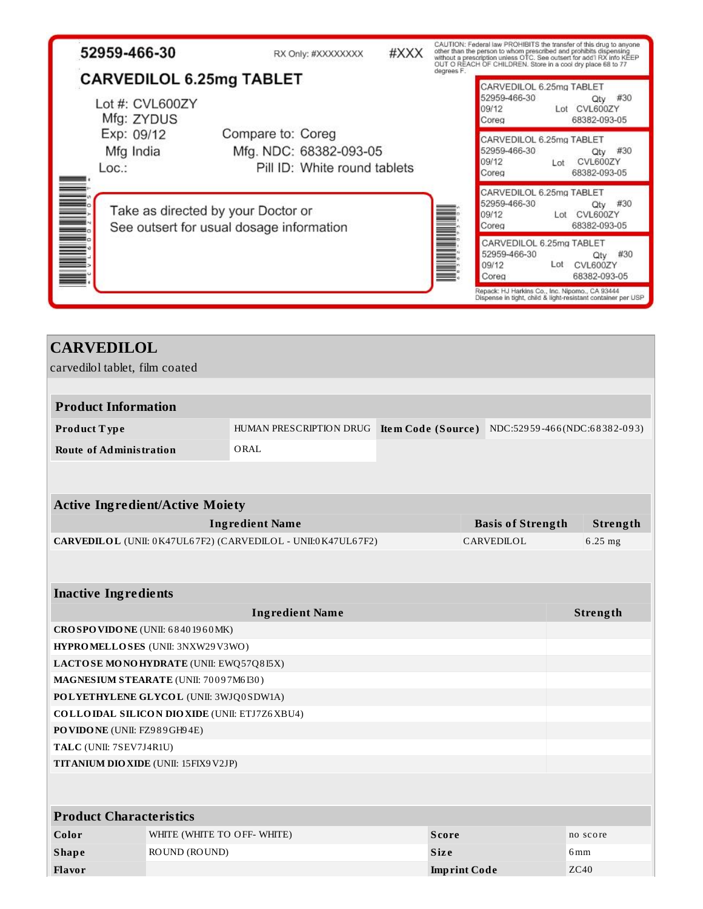| 52959-466-30                                                                   | RX Only: #XXXXXXXX                                                          | #XXX |            | OUT O REACH OF CHILDREN. Store in a cool dry place 68 to 77 | CAUTION: Federal law PROHIBITS the transfer of this drug to anyone<br>other than the person to whom prescribed and prohibits dispensing<br>without a prescription unless OTC. See outsert for add IRX info KEEP |
|--------------------------------------------------------------------------------|-----------------------------------------------------------------------------|------|------------|-------------------------------------------------------------|-----------------------------------------------------------------------------------------------------------------------------------------------------------------------------------------------------------------|
| <b>CARVEDILOL 6.25mg TABLET</b>                                                |                                                                             |      | degrees F. | CARVEDILOL 6.25mg TABLET                                    |                                                                                                                                                                                                                 |
| Lot #: CVL600ZY<br>Mfg: ZYDUS                                                  |                                                                             |      |            | 52959-466-30<br>09/12<br>Coreg                              | #30<br>Qty<br>Lot CVL600ZY<br>68382-093-05                                                                                                                                                                      |
| Exp: 09/12<br>Mfg India<br>Loc:                                                | Compare to: Coreg<br>Mfg. NDC: 68382-093-05<br>Pill ID: White round tablets |      |            | CARVEDILOL 6.25mg TABLET<br>52959-466-30<br>09/12<br>Coreg  | #30<br>Qty<br>CVL600ZY<br>Lot<br>68382-093-05                                                                                                                                                                   |
| Take as directed by your Doctor or<br>See outsert for usual dosage information |                                                                             |      |            | CARVEDILOL 6.25mg TABLET<br>52959-466-30<br>09/12<br>Coreg  | Qty #30<br>Lot CVL600ZY<br>68382-093-05                                                                                                                                                                         |
|                                                                                |                                                                             |      |            | CARVEDILOL 6.25mg TABLET<br>52959-466-30<br>09/12<br>Coreg  | #30<br>Qtv<br>CVL600ZY<br>Lot<br>68382-093-05                                                                                                                                                                   |
|                                                                                |                                                                             |      |            | Repack: HJ Harkins Co., Inc. Nipomo., CA 93444              | Dispense in tight, child & light-resistant container per USP                                                                                                                                                    |

| <b>CARVEDILOL</b>               |                                                     |                                                              |                           |  |                              |                 |          |
|---------------------------------|-----------------------------------------------------|--------------------------------------------------------------|---------------------------|--|------------------------------|-----------------|----------|
|                                 | carvedilol tablet, film coated                      |                                                              |                           |  |                              |                 |          |
|                                 |                                                     |                                                              |                           |  |                              |                 |          |
| <b>Product Information</b>      |                                                     |                                                              |                           |  |                              |                 |          |
| Product Type                    |                                                     | HUMAN PRESCRIPTION DRUG                                      | <b>Item Code (Source)</b> |  | NDC:52959-466(NDC:68382-093) |                 |          |
| <b>Route of Administration</b>  |                                                     | ORAL                                                         |                           |  |                              |                 |          |
|                                 |                                                     |                                                              |                           |  |                              |                 |          |
|                                 |                                                     |                                                              |                           |  |                              |                 |          |
|                                 | <b>Active Ingredient/Active Moiety</b>              |                                                              |                           |  |                              |                 |          |
|                                 |                                                     | <b>Ingredient Name</b>                                       |                           |  | <b>Basis of Strength</b>     |                 | Strength |
|                                 |                                                     | CARVEDILOL (UNII: 0K47UL67F2) (CARVEDILOL - UNII:0K47UL67F2) |                           |  | CARVEDILOL                   | 6.25 mg         |          |
|                                 |                                                     |                                                              |                           |  |                              |                 |          |
| <b>Inactive Ingredients</b>     |                                                     |                                                              |                           |  |                              |                 |          |
|                                 |                                                     | <b>Ingredient Name</b>                                       |                           |  |                              | Strength        |          |
| CROSPOVIDONE (UNII: 68401960MK) |                                                     |                                                              |                           |  |                              |                 |          |
|                                 | <b>HYPROMELLOSES</b> (UNII: 3NXW29V3WO)             |                                                              |                           |  |                              |                 |          |
|                                 | LACTOSE MONOHYDRATE (UNII: EWQ57Q8I5X)              |                                                              |                           |  |                              |                 |          |
|                                 | MAGNESIUM STEARATE (UNII: 70097M6I30)               |                                                              |                           |  |                              |                 |          |
|                                 | POLYETHYLENE GLYCOL (UNII: 3WJQ0SDW1A)              |                                                              |                           |  |                              |                 |          |
|                                 | <b>COLLOIDAL SILICON DIOXIDE (UNII: ETJ7Z6XBU4)</b> |                                                              |                           |  |                              |                 |          |
|                                 | PO VIDO NE (UNII: FZ989GH94E)                       |                                                              |                           |  |                              |                 |          |
|                                 | TALC (UNII: 7SEV7J4R1U)                             |                                                              |                           |  |                              |                 |          |
|                                 | TITANIUM DIO XIDE (UNII: 15FIX9 V2JP)               |                                                              |                           |  |                              |                 |          |
|                                 |                                                     |                                                              |                           |  |                              |                 |          |
|                                 | <b>Product Characteristics</b>                      |                                                              |                           |  |                              |                 |          |
|                                 |                                                     |                                                              |                           |  |                              |                 |          |
| Color                           | WHITE (WHITE TO OFF- WHITE)                         |                                                              | Score                     |  |                              | no score        |          |
| <b>Shape</b>                    | ROUND (ROUND)                                       |                                                              | <b>Size</b>               |  |                              | 6 <sub>mm</sub> |          |
| Flavor                          |                                                     |                                                              | <b>Imprint Code</b>       |  |                              | ZC40            |          |